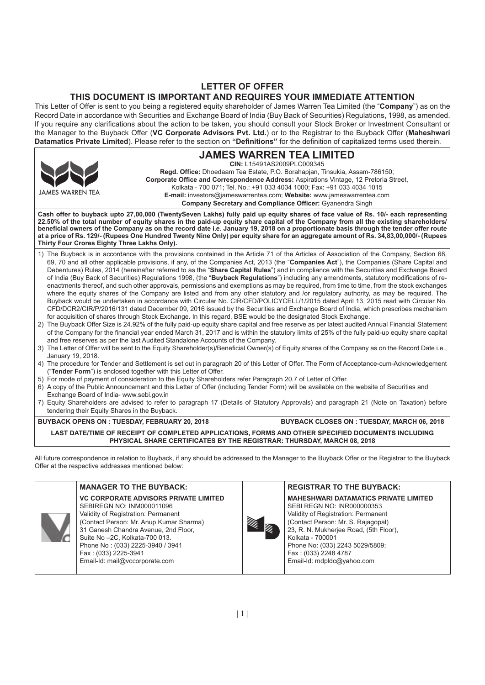# **LETTER OF OFFER THIS DOCUMENT IS IMPORTANT AND REQUIRES YOUR IMMEDIATE ATTENTION**

This Letter of Offer is sent to you being a registered equity shareholder of James Warren Tea Limited (the "**Company**") as on the Record Date in accordance with Securities and Exchange Board of India (Buy Back of Securities) Regulations, 1998, as amended. If you require any clarifications about the action to be taken, you should consult your Stock Broker or Investment Consultant or the Manager to the Buyback Offer (**VC Corporate Advisors Pvt. Ltd.**) or to the Registrar to the Buyback Offer (**Maheshwari Datamatics Private Limited**). Please refer to the section on **"Definitions"** for the definition of capitalized terms used therein.

| JAMES WARREN TEA                                                                                                                                                       |                                                                                                                                                  | <b>JAMES WARREN TEA LIMITED</b><br>CIN: L15491AS2009PLC009345<br>Regd. Office: Dhoedaam Tea Estate, P.O. Borahapjan, Tinsukia, Assam-786150;<br>Corporate Office and Correspondence Address: Aspirations Vintage, 12 Pretoria Street,<br>Kolkata - 700 071; Tel. No.: +91 033 4034 1000; Fax: +91 033 4034 1015<br>E-mail: investors@jameswarrentea.com; Website: www.jameswarrentea.com<br>Company Secretary and Compliance Officer: Gyanendra Singh<br>Cash offer to buyback upto 27,00,000 (TwentySeven Lakhs) fully paid up equity shares of face value of Rs. 10/- each representing                                                                                                                                                                                                                                                                                                                                                                                                                                                                                                                                                                                                                                                                                                                                                                                                                                                                                                                                                                                                                                                                                                                                                                                                                                                                                                                                                                                                                                                                                                                                                                                                                                                                                                                            |  |
|------------------------------------------------------------------------------------------------------------------------------------------------------------------------|--------------------------------------------------------------------------------------------------------------------------------------------------|----------------------------------------------------------------------------------------------------------------------------------------------------------------------------------------------------------------------------------------------------------------------------------------------------------------------------------------------------------------------------------------------------------------------------------------------------------------------------------------------------------------------------------------------------------------------------------------------------------------------------------------------------------------------------------------------------------------------------------------------------------------------------------------------------------------------------------------------------------------------------------------------------------------------------------------------------------------------------------------------------------------------------------------------------------------------------------------------------------------------------------------------------------------------------------------------------------------------------------------------------------------------------------------------------------------------------------------------------------------------------------------------------------------------------------------------------------------------------------------------------------------------------------------------------------------------------------------------------------------------------------------------------------------------------------------------------------------------------------------------------------------------------------------------------------------------------------------------------------------------------------------------------------------------------------------------------------------------------------------------------------------------------------------------------------------------------------------------------------------------------------------------------------------------------------------------------------------------------------------------------------------------------------------------------------------------|--|
| Thirty Four Crores Eighty Three Lakhs Only).                                                                                                                           |                                                                                                                                                  | 22.50% of the total number of equity shares in the paid-up equity share capital of the Company from all the existing shareholders/<br>beneficial owners of the Company as on the record date i.e. January 19, 2018 on a proportionate basis through the tender offer route<br>at a price of Rs. 129/- (Rupees One Hundred Twenty Nine Only) per equity share for an aggregate amount of Rs. 34,83,00,000/- (Rupees                                                                                                                                                                                                                                                                                                                                                                                                                                                                                                                                                                                                                                                                                                                                                                                                                                                                                                                                                                                                                                                                                                                                                                                                                                                                                                                                                                                                                                                                                                                                                                                                                                                                                                                                                                                                                                                                                                   |  |
| January 19, 2018.<br>Exchange Board of India- www.sebi.gov.in<br>tendering their Equity Shares in the Buyback.<br><b>BUYBACK OPENS ON : TUESDAY, FEBRUARY 20, 2018</b> | and free reserves as per the last Audited Standalone Accounts of the Company.<br>("Tender Form") is enclosed together with this Letter of Offer. | 1) The Buyback is in accordance with the provisions contained in the Article 71 of the Articles of Association of the Company, Section 68,<br>69, 70 and all other applicable provisions, if any, of the Companies Act, 2013 (the "Companies Act"), the Companies (Share Capital and<br>Debentures) Rules, 2014 (hereinafter referred to as the "Share Capital Rules") and in compliance with the Securities and Exchange Board<br>of India (Buy Back of Securities) Regulations 1998, (the "Buyback Regulations") including any amendments, statutory modifications of re-<br>enactments thereof, and such other approvals, permissions and exemptions as may be required, from time to time, from the stock exchanges<br>where the equity shares of the Company are listed and from any other statutory and /or requlatory authority, as may be required. The<br>Buyback would be undertaken in accordance with Circular No. CIR/CFD/POLICYCELL/1/2015 dated April 13, 2015 read with Circular No.<br>CFD/DCR2/CIR/P/2016/131 dated December 09, 2016 issued by the Securities and Exchange Board of India, which prescribes mechanism<br>for acquisition of shares through Stock Exchange. In this regard, BSE would be the designated Stock Exchange.<br>2) The Buyback Offer Size is 24.92% of the fully paid-up equity share capital and free reserve as per latest audited Annual Financial Statement<br>of the Company for the financial year ended March 31, 2017 and is within the statutory limits of 25% of the fully paid-up equity share capital<br>3) The Letter of Offer will be sent to the Equity Shareholder(s)/Beneficial Owner(s) of Equity shares of the Company as on the Record Date i.e.,<br>4) The procedure for Tender and Settlement is set out in paragraph 20 of this Letter of Offer. The Form of Acceptance-cum-Acknowledgement<br>5) For mode of payment of consideration to the Equity Shareholders refer Paragraph 20.7 of Letter of Offer.<br>6) A copy of the Public Announcement and this Letter of Offer (including Tender Form) will be available on the website of Securities and<br>7) Equity Shareholders are advised to refer to paragraph 17 (Details of Statutory Approvals) and paragraph 21 (Note on Taxation) before<br>BUYBACK CLOSES ON : TUESDAY, MARCH 06, 2018 |  |
|                                                                                                                                                                        |                                                                                                                                                  |                                                                                                                                                                                                                                                                                                                                                                                                                                                                                                                                                                                                                                                                                                                                                                                                                                                                                                                                                                                                                                                                                                                                                                                                                                                                                                                                                                                                                                                                                                                                                                                                                                                                                                                                                                                                                                                                                                                                                                                                                                                                                                                                                                                                                                                                                                                      |  |
|                                                                                                                                                                        |                                                                                                                                                  | LAST DATE/TIME OF RECEIPT OF COMPLETED APPLICATIONS, FORMS AND OTHER SPECIFIED DOCUMENTS INCLUDING<br>PHYSICAL SHARE CERTIFICATES BY THE REGISTRAR: THURSDAY, MARCH 08, 2018                                                                                                                                                                                                                                                                                                                                                                                                                                                                                                                                                                                                                                                                                                                                                                                                                                                                                                                                                                                                                                                                                                                                                                                                                                                                                                                                                                                                                                                                                                                                                                                                                                                                                                                                                                                                                                                                                                                                                                                                                                                                                                                                         |  |
| Offer at the respective addresses mentioned below:                                                                                                                     |                                                                                                                                                  | All future correspondence in relation to Buyback, if any should be addressed to the Manager to the Buyback Offer or the Registrar to the Buyback                                                                                                                                                                                                                                                                                                                                                                                                                                                                                                                                                                                                                                                                                                                                                                                                                                                                                                                                                                                                                                                                                                                                                                                                                                                                                                                                                                                                                                                                                                                                                                                                                                                                                                                                                                                                                                                                                                                                                                                                                                                                                                                                                                     |  |

| <b>MANAGER TO THE BUYBACK:</b>                                                                                                                                                                                                                                                                                                      | <b>REGISTRAR TO THE BUYBACK:</b>                                                                                                                                                                                                                                                                               |
|-------------------------------------------------------------------------------------------------------------------------------------------------------------------------------------------------------------------------------------------------------------------------------------------------------------------------------------|----------------------------------------------------------------------------------------------------------------------------------------------------------------------------------------------------------------------------------------------------------------------------------------------------------------|
| <b>VC CORPORATE ADVISORS PRIVATE LIMITED</b><br>SEBIREGN NO: INM000011096<br>Validity of Registration: Permanent<br>(Contact Person: Mr. Anup Kumar Sharma)<br>31 Ganesh Chandra Avenue, 2nd Floor,<br>Suite No -2C, Kolkata-700 013.<br>Phone No: (033) 2225-3940 / 3941<br>Fax: (033) 2225-3941<br>Email-Id: mail@vccorporate.com | <b>MAHESHWARI DATAMATICS PRIVATE LIMITED</b><br>SEBI REGN NO: INR000000353<br>Validity of Registration: Permanent<br>(Contact Person: Mr. S. Rajagopal)<br>23, R. N. Mukherjee Road, (5th Floor),<br>Kolkata - 700001<br>Phone No: (033) 2243 5029/5809;<br>Fax: (033) 2248 4787<br>Email-Id: mdpldc@yahoo.com |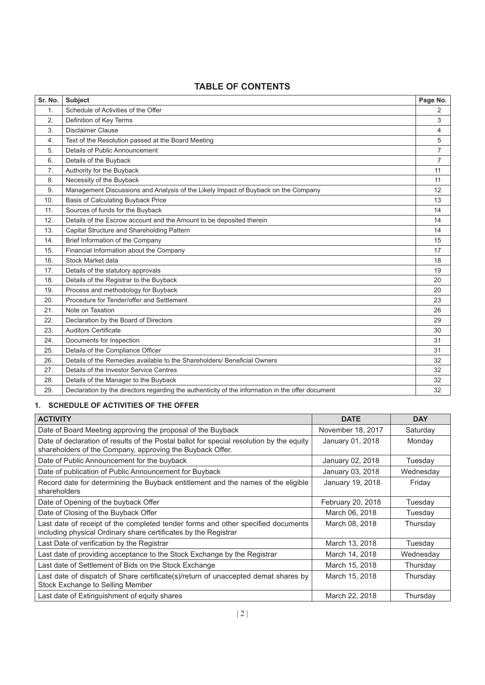# **TABLE OF CONTENTS**

| Sr. No.        | Subject                                                                                          | Page No.       |
|----------------|--------------------------------------------------------------------------------------------------|----------------|
| $\mathbf{1}$ . | Schedule of Activities of the Offer                                                              | 2              |
| 2.             | Definition of Key Terms                                                                          | 3              |
| 3.             | Disclaimer Clause                                                                                | 4              |
| 4.             | Text of the Resolution passed at the Board Meeting                                               | 5              |
| 5.             | Details of Public Announcement                                                                   | 7              |
| 6.             | Details of the Buyback                                                                           | $\overline{7}$ |
| 7 <sub>1</sub> | Authority for the Buyback                                                                        | 11             |
| 8.             | Necessity of the Buyback                                                                         | 11             |
| 9.             | Management Discussions and Analysis of the Likely Impact of Buyback on the Company               | 12             |
| 10.            | Basis of Calculating Buyback Price                                                               | 13             |
| 11.            | Sources of funds for the Buyback                                                                 | 14             |
| 12.            | Details of the Escrow account and the Amount to be deposited therein                             | 14             |
| 13.            | Capital Structure and Shareholding Pattern                                                       | 14             |
| 14.            | Brief Information of the Company                                                                 | 15             |
| 15.            | Financial Information about the Company                                                          | 17             |
| 16.            | Stock Market data                                                                                | 18             |
| 17.            | Details of the statutory approvals                                                               | 19             |
| 18.            | Details of the Registrar to the Buyback                                                          | 20             |
| 19.            | Process and methodology for Buyback                                                              | 20             |
| 20.            | Procedure for Tender/offer and Settlement                                                        | 23             |
| 21.            | Note on Taxation                                                                                 | 26             |
| 22.            | Declaration by the Board of Directors                                                            | 29             |
| 23.            | <b>Auditors Certificate</b>                                                                      | 30             |
| 24.            | Documents for Inspection                                                                         | 31             |
| 25.            | Details of the Compliance Officer                                                                | 31             |
| 26.            | Details of the Remedies available to the Shareholders/ Beneficial Owners                         | 32             |
| 27.            | Details of the Investor Service Centres                                                          | 32             |
| 28.            | Details of the Manager to the Buyback                                                            | 32             |
| 29.            | Declaration by the directors regarding the authenticity of the information in the offer document | 32             |

# **1. SCHEDULE OF ACTIVITIES OF THE OFFER**

| <b>ACTIVITY</b>                                                                                                                                       | <b>DATE</b>       | <b>DAY</b> |
|-------------------------------------------------------------------------------------------------------------------------------------------------------|-------------------|------------|
| Date of Board Meeting approving the proposal of the Buyback                                                                                           | November 18, 2017 | Saturday   |
| Date of declaration of results of the Postal ballot for special resolution by the equity<br>shareholders of the Company, approving the Buyback Offer. | January 01, 2018  | Monday     |
| Date of Public Announcement for the buyback                                                                                                           | January 02, 2018  | Tuesday    |
| Date of publication of Public Announcement for Buyback                                                                                                | January 03, 2018  | Wednesday  |
| Record date for determining the Buyback entitlement and the names of the eligible<br>shareholders                                                     | January 19, 2018  | Friday     |
| Date of Opening of the buyback Offer                                                                                                                  | February 20, 2018 | Tuesdav    |
| Date of Closing of the Buyback Offer                                                                                                                  | March 06, 2018    | Tuesday    |
| Last date of receipt of the completed tender forms and other specified documents<br>including physical Ordinary share certificates by the Registrar   | March 08, 2018    | Thursday   |
| Last Date of verification by the Registrar                                                                                                            | March 13, 2018    | Tuesday    |
| Last date of providing acceptance to the Stock Exchange by the Registrar                                                                              | March 14, 2018    | Wednesday  |
| Last date of Settlement of Bids on the Stock Exchange                                                                                                 | March 15, 2018    | Thursday   |
| Last date of dispatch of Share certificate(s)/return of unaccepted demat shares by<br>Stock Exchange to Selling Member                                | March 15, 2018    | Thursday   |
| Last date of Extinguishment of equity shares                                                                                                          | March 22, 2018    | Thursday   |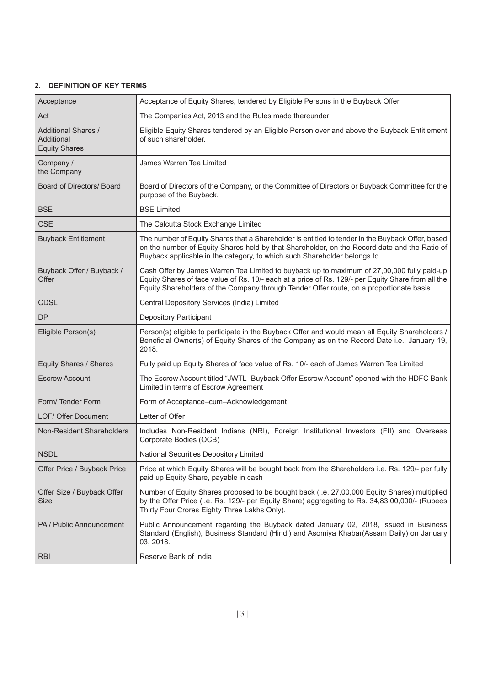# **2. DEFINITION OF KEY TERMS**

| Acceptance                                                       | Acceptance of Equity Shares, tendered by Eligible Persons in the Buyback Offer                                                                                                                                                                                                               |
|------------------------------------------------------------------|----------------------------------------------------------------------------------------------------------------------------------------------------------------------------------------------------------------------------------------------------------------------------------------------|
| Act                                                              | The Companies Act, 2013 and the Rules made thereunder                                                                                                                                                                                                                                        |
| <b>Additional Shares /</b><br>Additional<br><b>Equity Shares</b> | Eligible Equity Shares tendered by an Eligible Person over and above the Buyback Entitlement<br>of such shareholder.                                                                                                                                                                         |
| Company /<br>the Company                                         | James Warren Tea Limited                                                                                                                                                                                                                                                                     |
| Board of Directors/ Board                                        | Board of Directors of the Company, or the Committee of Directors or Buyback Committee for the<br>purpose of the Buyback.                                                                                                                                                                     |
| <b>BSE</b>                                                       | <b>BSE Limited</b>                                                                                                                                                                                                                                                                           |
| <b>CSE</b>                                                       | The Calcutta Stock Exchange Limited                                                                                                                                                                                                                                                          |
| <b>Buyback Entitlement</b>                                       | The number of Equity Shares that a Shareholder is entitled to tender in the Buyback Offer, based<br>on the number of Equity Shares held by that Shareholder, on the Record date and the Ratio of<br>Buyback applicable in the category, to which such Shareholder belongs to.                |
| Buyback Offer / Buyback /<br>Offer                               | Cash Offer by James Warren Tea Limited to buyback up to maximum of 27,00,000 fully paid-up<br>Equity Shares of face value of Rs. 10/- each at a price of Rs. 129/- per Equity Share from all the<br>Equity Shareholders of the Company through Tender Offer route, on a proportionate basis. |
| <b>CDSL</b>                                                      | Central Depository Services (India) Limited                                                                                                                                                                                                                                                  |
| <b>DP</b>                                                        | <b>Depository Participant</b>                                                                                                                                                                                                                                                                |
| Eligible Person(s)                                               | Person(s) eligible to participate in the Buyback Offer and would mean all Equity Shareholders /<br>Beneficial Owner(s) of Equity Shares of the Company as on the Record Date i.e., January 19,<br>2018.                                                                                      |
| Equity Shares / Shares                                           | Fully paid up Equity Shares of face value of Rs. 10/- each of James Warren Tea Limited                                                                                                                                                                                                       |
| <b>Escrow Account</b>                                            | The Escrow Account titled "JWTL- Buyback Offer Escrow Account" opened with the HDFC Bank<br>Limited in terms of Escrow Agreement                                                                                                                                                             |
| Form/ Tender Form                                                | Form of Acceptance-cum-Acknowledgement                                                                                                                                                                                                                                                       |
| <b>LOF/ Offer Document</b>                                       | Letter of Offer                                                                                                                                                                                                                                                                              |
| Non-Resident Shareholders                                        | Includes Non-Resident Indians (NRI), Foreign Institutional Investors (FII) and Overseas<br>Corporate Bodies (OCB)                                                                                                                                                                            |
| <b>NSDL</b>                                                      | National Securities Depository Limited                                                                                                                                                                                                                                                       |
| Offer Price / Buyback Price                                      | Price at which Equity Shares will be bought back from the Shareholders i.e. Rs. 129/- per fully<br>paid up Equity Share, payable in cash                                                                                                                                                     |
| Offer Size / Buyback Offer<br>Size                               | Number of Equity Shares proposed to be bought back (i.e. 27,00,000 Equity Shares) multiplied<br>by the Offer Price (i.e. Rs. 129/- per Equity Share) aggregating to Rs. 34,83,00,000/- (Rupees<br>Thirty Four Crores Eighty Three Lakhs Only).                                               |
| PA / Public Announcement                                         | Public Announcement regarding the Buyback dated January 02, 2018, issued in Business<br>Standard (English), Business Standard (Hindi) and Asomiya Khabar(Assam Daily) on January<br>03, 2018.                                                                                                |
| <b>RBI</b>                                                       | Reserve Bank of India                                                                                                                                                                                                                                                                        |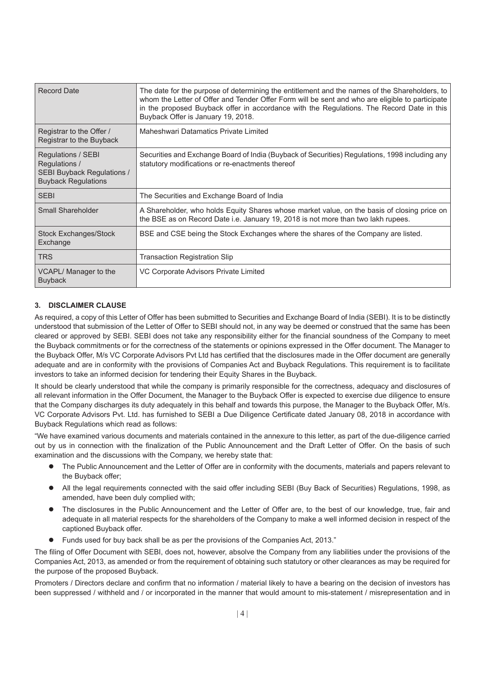| <b>Record Date</b>                                                                              | The date for the purpose of determining the entitlement and the names of the Shareholders, to<br>whom the Letter of Offer and Tender Offer Form will be sent and who are eligible to participate<br>in the proposed Buyback offer in accordance with the Regulations. The Record Date in this<br>Buyback Offer is January 19, 2018. |
|-------------------------------------------------------------------------------------------------|-------------------------------------------------------------------------------------------------------------------------------------------------------------------------------------------------------------------------------------------------------------------------------------------------------------------------------------|
| Registrar to the Offer /<br>Registrar to the Buyback                                            | Maheshwari Datamatics Private Limited                                                                                                                                                                                                                                                                                               |
| Regulations / SEBI<br>Regulations /<br>SEBI Buyback Regulations /<br><b>Buyback Regulations</b> | Securities and Exchange Board of India (Buyback of Securities) Regulations, 1998 including any<br>statutory modifications or re-enactments thereof                                                                                                                                                                                  |
| <b>SEBI</b>                                                                                     | The Securities and Exchange Board of India                                                                                                                                                                                                                                                                                          |
| Small Shareholder                                                                               | A Shareholder, who holds Equity Shares whose market value, on the basis of closing price on<br>the BSE as on Record Date i.e. January 19, 2018 is not more than two lakh rupees.                                                                                                                                                    |
| Stock Exchanges/Stock<br>Exchange                                                               | BSE and CSE being the Stock Exchanges where the shares of the Company are listed.                                                                                                                                                                                                                                                   |
| <b>TRS</b>                                                                                      | <b>Transaction Registration Slip</b>                                                                                                                                                                                                                                                                                                |
| VCAPL/ Manager to the<br><b>Buyback</b>                                                         | VC Corporate Advisors Private Limited                                                                                                                                                                                                                                                                                               |

# **3. DISCLAIMER CLAUSE**

As required, a copy of this Letter of Offer has been submitted to Securities and Exchange Board of India (SEBI). It is to be distinctly understood that submission of the Letter of Offer to SEBI should not, in any way be deemed or construed that the same has been cleared or approved by SEBI. SEBI does not take any responsibility either for the financial soundness of the Company to meet the Buyback commitments or for the correctness of the statements or opinions expressed in the Offer document. The Manager to the Buyback Offer, M/s VC Corporate Advisors Pvt Ltd has certified that the disclosures made in the Offer document are generally adequate and are in conformity with the provisions of Companies Act and Buyback Regulations. This requirement is to facilitate investors to take an informed decision for tendering their Equity Shares in the Buyback.

It should be clearly understood that while the company is primarily responsible for the correctness, adequacy and disclosures of all relevant information in the Offer Document, the Manager to the Buyback Offer is expected to exercise due diligence to ensure that the Company discharges its duty adequately in this behalf and towards this purpose, the Manager to the Buyback Offer, M/s. VC Corporate Advisors Pvt. Ltd. has furnished to SEBI a Due Diligence Certificate dated January 08, 2018 in accordance with Buyback Regulations which read as follows:

"We have examined various documents and materials contained in the annexure to this letter, as part of the due-diligence carried out by us in connection with the finalization of the Public Announcement and the Draft Letter of Offer. On the basis of such examination and the discussions with the Company, we hereby state that:

- The Public Announcement and the Letter of Offer are in conformity with the documents, materials and papers relevant to the Buyback offer;
- All the legal requirements connected with the said offer including SEBI (Buy Back of Securities) Regulations, 1998, as amended, have been duly complied with;
- The disclosures in the Public Announcement and the Letter of Offer are, to the best of our knowledge, true, fair and adequate in all material respects for the shareholders of the Company to make a well informed decision in respect of the captioned Buyback offer.
- Funds used for buy back shall be as per the provisions of the Companies Act, 2013."

The filing of Offer Document with SEBI, does not, however, absolve the Company from any liabilities under the provisions of the Companies Act, 2013, as amended or from the requirement of obtaining such statutory or other clearances as may be required for the purpose of the proposed Buyback.

Promoters / Directors declare and confirm that no information / material likely to have a bearing on the decision of investors has been suppressed / withheld and / or incorporated in the manner that would amount to mis-statement / misrepresentation and in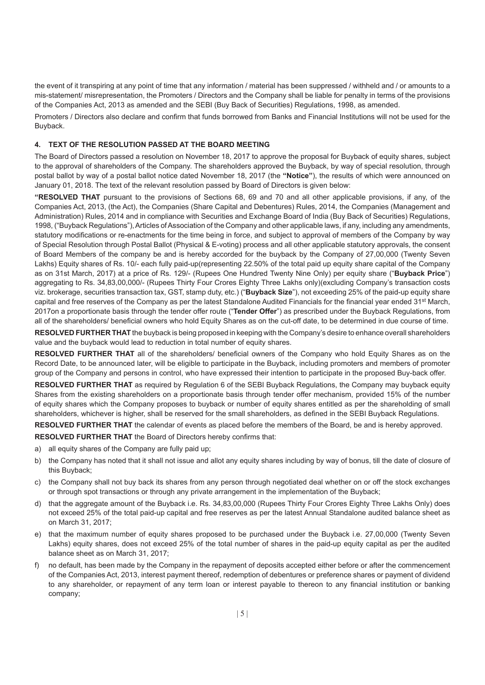the event of it transpiring at any point of time that any information / material has been suppressed / withheld and / or amounts to a mis-statement/ misrepresentation, the Promoters / Directors and the Company shall be liable for penalty in terms of the provisions of the Companies Act, 2013 as amended and the SEBI (Buy Back of Securities) Regulations, 1998, as amended.

Promoters / Directors also declare and confirm that funds borrowed from Banks and Financial Institutions will not be used for the Buyback.

# **4. TEXT OF THE RESOLUTION PASSED AT THE BOARD MEETING**

The Board of Directors passed a resolution on November 18, 2017 to approve the proposal for Buyback of equity shares, subject to the approval of shareholders of the Company. The shareholders approved the Buyback, by way of special resolution, through postal ballot by way of a postal ballot notice dated November 18, 2017 (the **"Notice"**), the results of which were announced on January 01, 2018. The text of the relevant resolution passed by Board of Directors is given below:

**"RESOLVED THAT** pursuant to the provisions of Sections 68, 69 and 70 and all other applicable provisions, if any, of the Companies Act, 2013, (the Act), the Companies (Share Capital and Debentures) Rules, 2014, the Companies (Management and Administration) Rules, 2014 and in compliance with Securities and Exchange Board of India (Buy Back of Securities) Regulations, 1998, ("Buyback Regulations"), Articles of Association of the Company and other applicable laws, if any, including any amendments, statutory modifications or re-enactments for the time being in force, and subject to approval of members of the Company by way of Special Resolution through Postal Ballot (Physical & E-voting) process and all other applicable statutory approvals, the consent of Board Members of the company be and is hereby accorded for the buyback by the Company of 27,00,000 (Twenty Seven Lakhs) Equity shares of Rs. 10/- each fully paid-up(representing 22.50% of the total paid up equity share capital of the Company as on 31st March, 2017) at a price of Rs. 129/- (Rupees One Hundred Twenty Nine Only) per equity share ("**Buyback Price**") aggregating to Rs. 34,83,00,000/- (Rupees Thirty Four Crores Eighty Three Lakhs only)(excluding Company's transaction costs viz. brokerage, securities transaction tax, GST, stamp duty, etc.) ("**Buyback Size**"), not exceeding 25% of the paid-up equity share capital and free reserves of the Company as per the latest Standalone Audited Financials for the financial year ended 31<sup>st</sup> March, 2017on a proportionate basis through the tender offer route ("**Tender Offer**") as prescribed under the Buyback Regulations, from all of the shareholders/ beneficial owners who hold Equity Shares as on the cut-off date, to be determined in due course of time.

**RESOLVED FURTHER THAT** the buyback is being proposed in keeping with the Company's desire to enhance overall shareholders value and the buyback would lead to reduction in total number of equity shares.

**RESOLVED FURTHER THAT** all of the shareholders/ beneficial owners of the Company who hold Equity Shares as on the Record Date, to be announced later, will be eligible to participate in the Buyback, including promoters and members of promoter group of the Company and persons in control, who have expressed their intention to participate in the proposed Buy-back offer.

**RESOLVED FURTHER THAT** as required by Regulation 6 of the SEBI Buyback Regulations, the Company may buyback equity Shares from the existing shareholders on a proportionate basis through tender offer mechanism, provided 15% of the number of equity shares which the Company proposes to buyback or number of equity shares entitled as per the shareholding of small shareholders, whichever is higher, shall be reserved for the small shareholders, as defined in the SEBI Buyback Regulations.

**RESOLVED FURTHER THAT** the calendar of events as placed before the members of the Board, be and is hereby approved.

**RESOLVED FURTHER THAT** the Board of Directors hereby confirms that:

- a) all equity shares of the Company are fully paid up;
- b) the Company has noted that it shall not issue and allot any equity shares including by way of bonus, till the date of closure of this Buyback;
- c) the Company shall not buy back its shares from any person through negotiated deal whether on or off the stock exchanges or through spot transactions or through any private arrangement in the implementation of the Buyback;
- d) that the aggregate amount of the Buyback i.e. Rs. 34,83,00,000 (Rupees Thirty Four Crores Eighty Three Lakhs Only) does not exceed 25% of the total paid-up capital and free reserves as per the latest Annual Standalone audited balance sheet as on March 31, 2017;
- e) that the maximum number of equity shares proposed to be purchased under the Buyback i.e. 27,00,000 (Twenty Seven Lakhs) equity shares, does not exceed 25% of the total number of shares in the paid-up equity capital as per the audited balance sheet as on March 31, 2017;
- f) no default, has been made by the Company in the repayment of deposits accepted either before or after the commencement of the Companies Act, 2013, interest payment thereof, redemption of debentures or preference shares or payment of dividend to any shareholder, or repayment of any term loan or interest payable to thereon to any financial institution or banking company;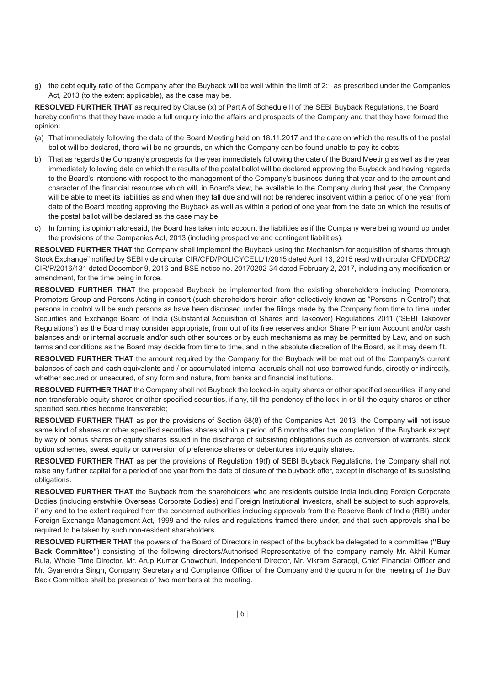g) the debt equity ratio of the Company after the Buyback will be well within the limit of 2:1 as prescribed under the Companies Act, 2013 (to the extent applicable), as the case may be.

**RESOLVED FURTHER THAT** as required by Clause (x) of Part A of Schedule II of the SEBI Buyback Regulations, the Board hereby confirms that they have made a full enquiry into the affairs and prospects of the Company and that they have formed the opinion:

- (a) That immediately following the date of the Board Meeting held on 18.11.2017 and the date on which the results of the postal ballot will be declared, there will be no grounds, on which the Company can be found unable to pay its debts;
- b) That as regards the Company's prospects for the year immediately following the date of the Board Meeting as well as the year immediately following date on which the results of the postal ballot will be declared approving the Buyback and having regards to the Board's intentions with respect to the management of the Company's business during that year and to the amount and character of the financial resources which will, in Board's view, be available to the Company during that year, the Company will be able to meet its liabilities as and when they fall due and will not be rendered insolvent within a period of one year from date of the Board meeting approving the Buyback as well as within a period of one year from the date on which the results of the postal ballot will be declared as the case may be;
- c) In forming its opinion aforesaid, the Board has taken into account the liabilities as if the Company were being wound up under the provisions of the Companies Act, 2013 (including prospective and contingent liabilities).

**RESOLVED FURTHER THAT** the Company shall implement the Buyback using the Mechanism for acquisition of shares through Stock Exchange" notified by SEBI vide circular CIR/CFD/POLICYCELL/1/2015 dated April 13, 2015 read with circular CFD/DCR2/ CIR/P/2016/131 dated December 9, 2016 and BSE notice no. 20170202-34 dated February 2, 2017, including any modification or amendment, for the time being in force.

**RESOLVED FURTHER THAT** the proposed Buyback be implemented from the existing shareholders including Promoters, Promoters Group and Persons Acting in concert (such shareholders herein after collectively known as "Persons in Control") that persons in control will be such persons as have been disclosed under the filings made by the Company from time to time under Securities and Exchange Board of India (Substantial Acquisition of Shares and Takeover) Regulations 2011 ("SEBI Takeover Regulations") as the Board may consider appropriate, from out of its free reserves and/or Share Premium Account and/or cash balances and/ or internal accruals and/or such other sources or by such mechanisms as may be permitted by Law, and on such terms and conditions as the Board may decide from time to time, and in the absolute discretion of the Board, as it may deem fit.

**RESOLVED FURTHER THAT** the amount required by the Company for the Buyback will be met out of the Company's current balances of cash and cash equivalents and / or accumulated internal accruals shall not use borrowed funds, directly or indirectly, whether secured or unsecured, of any form and nature, from banks and financial institutions.

**RESOLVED FURTHER THAT** the Company shall not Buyback the locked-in equity shares or other specified securities, if any and non-transferable equity shares or other specified securities, if any, till the pendency of the lock-in or till the equity shares or other specified securities become transferable;

**RESOLVED FURTHER THAT** as per the provisions of Section 68(8) of the Companies Act, 2013, the Company will not issue same kind of shares or other specified securities shares within a period of 6 months after the completion of the Buyback except by way of bonus shares or equity shares issued in the discharge of subsisting obligations such as conversion of warrants, stock option schemes, sweat equity or conversion of preference shares or debentures into equity shares.

**RESOLVED FURTHER THAT** as per the provisions of Regulation 19(f) of SEBI Buyback Regulations, the Company shall not raise any further capital for a period of one year from the date of closure of the buyback offer, except in discharge of its subsisting obligations.

**RESOLVED FURTHER THAT** the Buyback from the shareholders who are residents outside India including Foreign Corporate Bodies (including erstwhile Overseas Corporate Bodies) and Foreign Institutional Investors, shall be subject to such approvals, if any and to the extent required from the concerned authorities including approvals from the Reserve Bank of India (RBI) under Foreign Exchange Management Act, 1999 and the rules and regulations framed there under, and that such approvals shall be required to be taken by such non-resident shareholders.

**RESOLVED FURTHER THAT** the powers of the Board of Directors in respect of the buyback be delegated to a committee (**"Buy Back Committee"**) consisting of the following directors/Authorised Representative of the company namely Mr. Akhil Kumar Ruia, Whole Time Director, Mr. Arup Kumar Chowdhuri, Independent Director, Mr. Vikram Saraogi, Chief Financial Officer and Mr. Gyanendra Singh, Company Secretary and Compliance Officer of the Company and the quorum for the meeting of the Buy Back Committee shall be presence of two members at the meeting.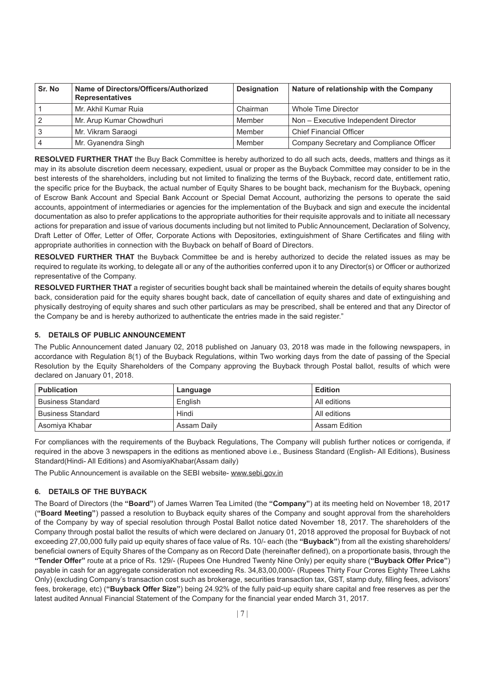| Sr. No         | Name of Directors/Officers/Authorized<br><b>Representatives</b> | <b>Designation</b> | Nature of relationship with the Company  |
|----------------|-----------------------------------------------------------------|--------------------|------------------------------------------|
|                | Mr. Akhil Kumar Ruja                                            | Chairman           | Whole Time Director                      |
| $\overline{2}$ | Mr. Arup Kumar Chowdhuri                                        | Member             | Non - Executive Independent Director     |
| 3              | Mr. Vikram Saraogi                                              | Member             | <b>Chief Financial Officer</b>           |
| $\overline{4}$ | Mr. Gyanendra Singh                                             | Member             | Company Secretary and Compliance Officer |

**RESOLVED FURTHER THAT** the Buy Back Committee is hereby authorized to do all such acts, deeds, matters and things as it may in its absolute discretion deem necessary, expedient, usual or proper as the Buyback Committee may consider to be in the best interests of the shareholders, including but not limited to finalizing the terms of the Buyback, record date, entitlement ratio, the specific price for the Buyback, the actual number of Equity Shares to be bought back, mechanism for the Buyback, opening of Escrow Bank Account and Special Bank Account or Special Demat Account, authorizing the persons to operate the said accounts, appointment of intermediaries or agencies for the implementation of the Buyback and sign and execute the incidental documentation as also to prefer applications to the appropriate authorities for their requisite approvals and to initiate all necessary actions for preparation and issue of various documents including but not limited to Public Announcement, Declaration of Solvency, Draft Letter of Offer, Letter of Offer, Corporate Actions with Depositories, extinguishment of Share Certificates and filing with appropriate authorities in connection with the Buyback on behalf of Board of Directors.

**RESOLVED FURTHER THAT** the Buyback Committee be and is hereby authorized to decide the related issues as may be required to regulate its working, to delegate all or any of the authorities conferred upon it to any Director(s) or Officer or authorized representative of the Company.

**RESOLVED FURTHER THAT** a register of securities bought back shall be maintained wherein the details of equity shares bought back, consideration paid for the equity shares bought back, date of cancellation of equity shares and date of extinguishing and physically destroying of equity shares and such other particulars as may be prescribed, shall be entered and that any Director of the Company be and is hereby authorized to authenticate the entries made in the said register."

# **5. DETAILS OF PUBLIC ANNOUNCEMENT**

The Public Announcement dated January 02, 2018 published on January 03, 2018 was made in the following newspapers, in accordance with Regulation 8(1) of the Buyback Regulations, within Two working days from the date of passing of the Special Resolution by the Equity Shareholders of the Company approving the Buyback through Postal ballot, results of which were declared on January 01, 2018.

| <b>Publication</b>       | Language    | <b>Edition</b> |
|--------------------------|-------------|----------------|
| <b>Business Standard</b> | English     | All editions   |
| <b>Business Standard</b> | Hindi       | All editions   |
| Asomiya Khabar           | Assam Daily | Assam Edition  |

For compliances with the requirements of the Buyback Regulations, The Company will publish further notices or corrigenda, if required in the above 3 newspapers in the editions as mentioned above i.e., Business Standard (English- All Editions), Business Standard(Hindi- All Editions) and AsomiyaKhabar(Assam daily)

The Public Announcement is available on the SEBI website- www.sebi.gov.in

# **6. DETAILS OF THE BUYBACK**

The Board of Directors (the **"Board"**) of James Warren Tea Limited (the **"Company"**) at its meeting held on November 18, 2017 (**"Board Meeting"**) passed a resolution to Buyback equity shares of the Company and sought approval from the shareholders of the Company by way of special resolution through Postal Ballot notice dated November 18, 2017. The shareholders of the Company through postal ballot the results of which were declared on January 01, 2018 approved the proposal for Buyback of not exceeding 27,00,000 fully paid up equity shares of face value of Rs. 10/- each (the **"Buyback"**) from all the existing shareholders/ beneficial owners of Equity Shares of the Company as on Record Date (hereinafter defined), on a proportionate basis, through the **"Tender Offer"** route at a price of Rs. 129/- (Rupees One Hundred Twenty Nine Only) per equity share (**"Buyback Offer Price"**) payable in cash for an aggregate consideration not exceeding Rs. 34,83,00,000/- (Rupees Thirty Four Crores Eighty Three Lakhs Only) (excluding Company's transaction cost such as brokerage, securities transaction tax, GST, stamp duty, filling fees, advisors' fees, brokerage, etc) (**"Buyback Offer Size"**) being 24.92% of the fully paid-up equity share capital and free reserves as per the latest audited Annual Financial Statement of the Company for the financial year ended March 31, 2017.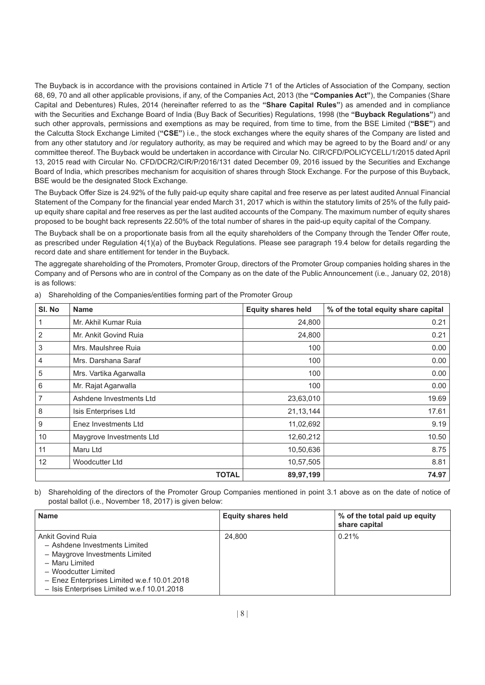The Buyback is in accordance with the provisions contained in Article 71 of the Articles of Association of the Company, section 68, 69, 70 and all other applicable provisions, if any, of the Companies Act, 2013 (the **"Companies Act"**), the Companies (Share Capital and Debentures) Rules, 2014 (hereinafter referred to as the **"Share Capital Rules"**) as amended and in compliance with the Securities and Exchange Board of India (Buy Back of Securities) Regulations, 1998 (the **"Buyback Regulations"**) and such other approvals, permissions and exemptions as may be required, from time to time, from the BSE Limited (**"BSE"**) and the Calcutta Stock Exchange Limited (**"CSE"**) i.e., the stock exchanges where the equity shares of the Company are listed and from any other statutory and /or regulatory authority, as may be required and which may be agreed to by the Board and/ or any committee thereof. The Buyback would be undertaken in accordance with Circular No. CIR/CFD/POLICYCELL/1/2015 dated April 13, 2015 read with Circular No. CFD/DCR2/CIR/P/2016/131 dated December 09, 2016 issued by the Securities and Exchange Board of India, which prescribes mechanism for acquisition of shares through Stock Exchange. For the purpose of this Buyback, BSE would be the designated Stock Exchange.

The Buyback Offer Size is 24.92% of the fully paid-up equity share capital and free reserve as per latest audited Annual Financial Statement of the Company for the financial year ended March 31, 2017 which is within the statutory limits of 25% of the fully paidup equity share capital and free reserves as per the last audited accounts of the Company. The maximum number of equity shares proposed to be bought back represents 22.50% of the total number of shares in the paid-up equity capital of the Company.

The Buyback shall be on a proportionate basis from all the equity shareholders of the Company through the Tender Offer route, as prescribed under Regulation 4(1)(a) of the Buyback Regulations. Please see paragraph 19.4 below for details regarding the record date and share entitlement for tender in the Buyback.

The aggregate shareholding of the Promoters, Promoter Group, directors of the Promoter Group companies holding shares in the Company and of Persons who are in control of the Company as on the date of the Public Announcement (i.e., January 02, 2018) is as follows:

| SI. No         | <b>Name</b>              | <b>Equity shares held</b> | % of the total equity share capital |
|----------------|--------------------------|---------------------------|-------------------------------------|
|                | Mr. Akhil Kumar Ruja     | 24,800                    | 0.21                                |
| $\overline{2}$ | Mr. Ankit Govind Ruia    | 24,800                    | 0.21                                |
| 3              | Mrs. Maulshree Ruia      | 100                       | 0.00                                |
| 4              | Mrs. Darshana Saraf      | 100                       | 0.00                                |
| 5              | Mrs. Vartika Agarwalla   | 100                       | 0.00                                |
| 6              | Mr. Rajat Agarwalla      | 100                       | 0.00                                |
| $\overline{7}$ | Ashdene Investments Ltd  | 23,63,010                 | 19.69                               |
| $\,8\,$        | Isis Enterprises Ltd     | 21, 13, 144               | 17.61                               |
| 9              | Enez Investments Ltd     | 11,02,692                 | 9.19                                |
| 10             | Maygrove Investments Ltd | 12,60,212                 | 10.50                               |
| 11             | Maru Ltd                 | 10,50,636                 | 8.75                                |
| 12             | Woodcutter Ltd           | 10,57,505                 | 8.81                                |
|                | <b>TOTAL</b>             | 89,97,199                 | 74.97                               |

a) Shareholding of the Companies/entities forming part of the Promoter Group

b) Shareholding of the directors of the Promoter Group Companies mentioned in point 3.1 above as on the date of notice of postal ballot (i.e., November 18, 2017) is given below:

| <b>Name</b>                                                                                                                                                                                                                         | <b>Equity shares held</b> | % of the total paid up equity<br>share capital |
|-------------------------------------------------------------------------------------------------------------------------------------------------------------------------------------------------------------------------------------|---------------------------|------------------------------------------------|
| <b>Ankit Govind Ruia</b><br>- Ashdene Investments Limited<br>- Maygrove Investments Limited<br>- Maru Limited<br>- Woodcutter Limited<br>- Enez Enterprises Limited w.e.f 10.01.2018<br>- Isis Enterprises Limited w.e.f 10.01.2018 | 24.800                    | 0.21%                                          |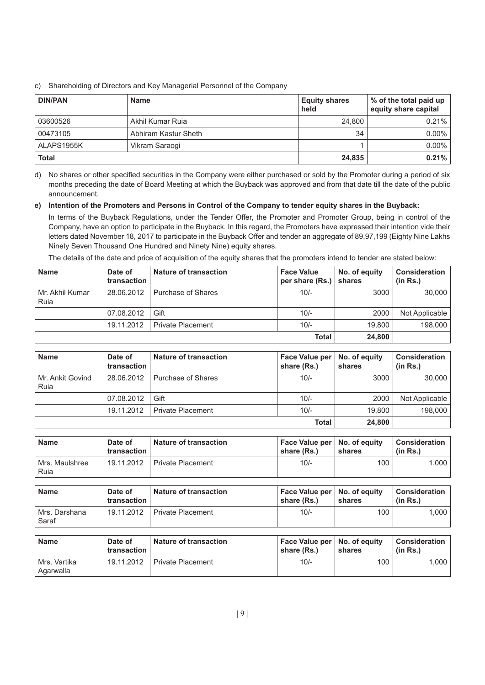c) Shareholding of Directors and Key Managerial Personnel of the Company

| <b>DIN/PAN</b><br><b>Name</b> |                      | <b>Equity shares</b><br>held | % of the total paid up<br>equity share capital |  |
|-------------------------------|----------------------|------------------------------|------------------------------------------------|--|
| 03600526                      | Akhil Kumar Ruja     | 24.800                       | $0.21\%$                                       |  |
| 00473105                      | Abhiram Kastur Sheth | 34                           | $0.00\%$                                       |  |
| ALAPS1955K                    | Vikram Saraogi       |                              | $0.00\%$                                       |  |
| <b>Total</b>                  |                      | 24,835                       | 0.21%                                          |  |

d) No shares or other specified securities in the Company were either purchased or sold by the Promoter during a period of six months preceding the date of Board Meeting at which the Buyback was approved and from that date till the date of the public announcement.

# **e) Intention of the Promoters and Persons in Control of the Company to tender equity shares in the Buyback:**

In terms of the Buyback Regulations, under the Tender Offer, the Promoter and Promoter Group, being in control of the Company, have an option to participate in the Buyback. In this regard, the Promoters have expressed their intention vide their letters dated November 18, 2017 to participate in the Buyback Offer and tender an aggregate of 89,97,199 (Eighty Nine Lakhs Ninety Seven Thousand One Hundred and Ninety Nine) equity shares.

The details of the date and price of acquisition of the equity shares that the promoters intend to tender are stated below:

| <b>Name</b>             | Date of<br>transaction | Nature of transaction    | <b>Face Value</b><br>per share $(Rs.)$ | No. of equity<br>shares | <b>Consideration</b><br>(in Rs.) |
|-------------------------|------------------------|--------------------------|----------------------------------------|-------------------------|----------------------------------|
| Mr. Akhil Kumar<br>Ruia | 28.06.2012             | Purchase of Shares       | $10/-$                                 | 3000                    | 30,000                           |
|                         | 07.08.2012             | Gift                     | $10/-$                                 | 2000                    | Not Applicable                   |
|                         | 19.11.2012             | <b>Private Placement</b> | $10/-$                                 | 19,800                  | 198,000                          |
|                         |                        |                          | Total                                  | 24,800                  |                                  |

| <b>Name</b>              | Date of<br>transaction | Nature of transaction    | Face Value per<br>share (Rs.) | No. of equity<br>shares | <b>Consideration</b><br>(in Rs.) |
|--------------------------|------------------------|--------------------------|-------------------------------|-------------------------|----------------------------------|
| Mr. Ankit Govind<br>Ruia | 28.06.2012             | Purchase of Shares       | $10/-$                        | 3000                    | 30,000                           |
|                          | 07.08.2012             | Gift                     | $10/-$                        | 2000                    | Not Applicable                   |
|                          | 19.11.2012             | <b>Private Placement</b> | $10/-$                        | 19,800                  | 198,000                          |
|                          |                        |                          | <b>Total</b>                  | 24,800                  |                                  |

| <b>Name</b>            | Date of<br>transaction | <b>Nature of transaction</b> | Face Value per   No. of equity<br>share (Rs.) | shares | <b>Consideration</b><br>(in Rs.) |
|------------------------|------------------------|------------------------------|-----------------------------------------------|--------|----------------------------------|
| Mrs. Maulshree<br>Ruia | 19.11.2012             | l Private Placement          | $10/-$                                        | 100    | 1.000                            |

| <b>Name</b>            | Date of<br>transaction | Nature of transaction    | Face Value per   No. of equity<br>share (Rs.) | shares | <b>Consideration</b><br>(in Rs.) |
|------------------------|------------------------|--------------------------|-----------------------------------------------|--------|----------------------------------|
| Mrs. Darshana<br>Saraf | 19.11.2012             | <b>Private Placement</b> | $10/-$                                        | 100    | 1.000                            |

| <b>Name</b>               | Date of<br>transaction | <b>Nature of transaction</b> | Face Value per   No. of equity<br>share (Rs.) | shares | <b>Consideration</b><br>(in Rs.) |
|---------------------------|------------------------|------------------------------|-----------------------------------------------|--------|----------------------------------|
| Mrs. Vartika<br>Agarwalla | 19.11.2012             | <b>Private Placement</b>     | $10/-$                                        | 100    | 1.000                            |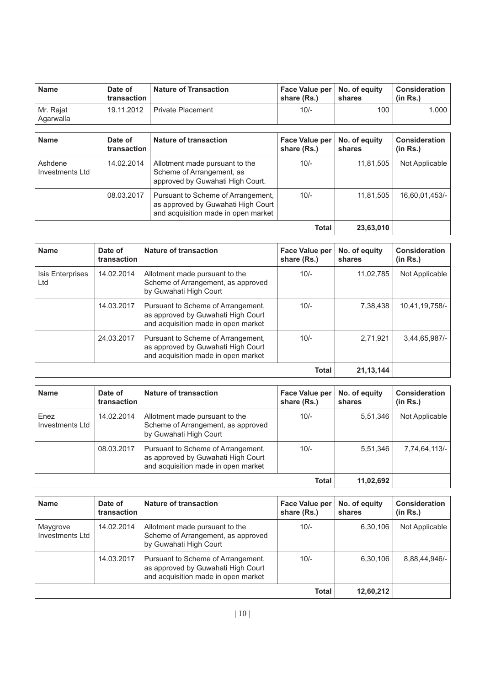| <b>Name</b>            | Date of<br>transaction | <b>Nature of Transaction</b> | Face Value per   No. of equity<br>share (Rs.) | shares | <b>Consideration</b><br>(in Rs.) |
|------------------------|------------------------|------------------------------|-----------------------------------------------|--------|----------------------------------|
| Mr. Rajat<br>Agarwalla | 19.11.2012             | <b>Private Placement</b>     | $10/-$                                        | 100    | 1.000                            |

| <b>Name</b>                | Date of<br>transaction | Nature of transaction                                                                                           | Face Value per<br>share (Rs.) | No. of equity<br>shares | <b>Consideration</b><br>(in Rs.) |
|----------------------------|------------------------|-----------------------------------------------------------------------------------------------------------------|-------------------------------|-------------------------|----------------------------------|
| Ashdene<br>Investments Ltd | 14.02.2014             | Allotment made pursuant to the<br>Scheme of Arrangement, as<br>approved by Guwahati High Court.                 | $10/-$                        | 11,81,505               | Not Applicable                   |
|                            | 08.03.2017             | Pursuant to Scheme of Arrangement,<br>as approved by Guwahati High Court<br>and acquisition made in open market | $10/-$                        | 11,81,505               | 16,60,01,453/-                   |
|                            | 23,63,010              |                                                                                                                 |                               |                         |                                  |

| <b>Name</b>                    | Date of<br>transaction | Nature of transaction                                                                                           | <b>Face Value per</b><br>share (Rs.) | No. of equity<br>shares | <b>Consideration</b><br>(in Rs.) |
|--------------------------------|------------------------|-----------------------------------------------------------------------------------------------------------------|--------------------------------------|-------------------------|----------------------------------|
| <b>Isis Enterprises</b><br>Ltd | 14.02.2014             | Allotment made pursuant to the<br>Scheme of Arrangement, as approved<br>by Guwahati High Court                  | $10/-$                               | 11.02.785               | Not Applicable                   |
|                                | 14.03.2017             | Pursuant to Scheme of Arrangement,<br>as approved by Guwahati High Court<br>and acquisition made in open market | $10/-$                               | 7,38,438                | 10,41,19,758/-                   |
|                                | 24.03.2017             | Pursuant to Scheme of Arrangement.<br>as approved by Guwahati High Court<br>and acquisition made in open market | $10/-$                               | 2.71.921                | $3,44,65,987/-$                  |
|                                |                        |                                                                                                                 | <b>Total</b>                         | 21, 13, 144             |                                  |

| <b>Name</b>             | Date of<br>transaction | <b>Nature of transaction</b>                                                                                    | <b>Face Value per</b><br>share (Rs.) | No. of equity<br>shares | <b>Consideration</b><br>(in Rs.) |
|-------------------------|------------------------|-----------------------------------------------------------------------------------------------------------------|--------------------------------------|-------------------------|----------------------------------|
| Enez<br>Investments Ltd | 14.02.2014             | Allotment made pursuant to the<br>Scheme of Arrangement, as approved<br>by Guwahati High Court                  | $10/-$                               | 5,51,346                | Not Applicable                   |
|                         | 08.03.2017             | Pursuant to Scheme of Arrangement,<br>as approved by Guwahati High Court<br>and acquisition made in open market | $10/-$                               | 5,51,346                | 7,74,64,113/-                    |
| <b>Total</b>            |                        |                                                                                                                 |                                      | 11,02,692               |                                  |

| <b>Name</b>                 | Date of<br>transaction | <b>Nature of transaction</b>                                                                                    | <b>Face Value per</b><br>share (Rs.) | No. of equity<br>shares | <b>Consideration</b><br>(in Rs.) |
|-----------------------------|------------------------|-----------------------------------------------------------------------------------------------------------------|--------------------------------------|-------------------------|----------------------------------|
| Maygrove<br>Investments Ltd | 14.02.2014             | Allotment made pursuant to the<br>Scheme of Arrangement, as approved<br>by Guwahati High Court                  | $10/-$                               | 6.30.106                | Not Applicable                   |
|                             | 14.03.2017             | Pursuant to Scheme of Arrangement,<br>as approved by Guwahati High Court<br>and acquisition made in open market | $10/-$                               | 6,30,106                | 8,88,44,946/-                    |
| <b>Total</b>                |                        |                                                                                                                 | 12,60,212                            |                         |                                  |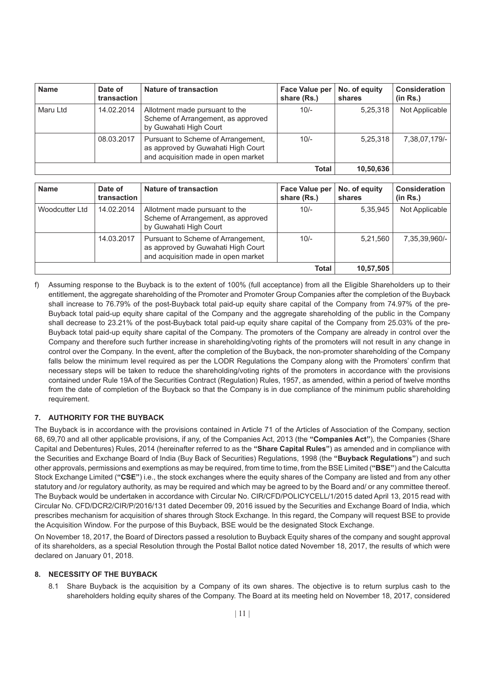| <b>Name</b> | Date of<br>transaction | <b>Nature of transaction</b>                                                                                    | <b>Face Value per</b><br>share (Rs.) | No. of equity<br>shares | <b>Consideration</b><br>(in Rs.) |
|-------------|------------------------|-----------------------------------------------------------------------------------------------------------------|--------------------------------------|-------------------------|----------------------------------|
| Maru Ltd    | 14.02.2014             | Allotment made pursuant to the<br>Scheme of Arrangement, as approved<br>by Guwahati High Court                  | $10/-$                               | 5,25,318                | Not Applicable                   |
|             | 08.03.2017             | Pursuant to Scheme of Arrangement,<br>as approved by Guwahati High Court<br>and acquisition made in open market | $10/-$                               | 5,25,318                | 7,38,07,179/-                    |
|             |                        |                                                                                                                 | <b>Total</b>                         | 10,50,636               |                                  |

| <b>Name</b>    | Date of<br>transaction | <b>Nature of transaction</b>                                                                                    | <b>Face Value per</b><br>share (Rs.) | No. of equity<br>shares | Consideration<br>(in Rs.) |
|----------------|------------------------|-----------------------------------------------------------------------------------------------------------------|--------------------------------------|-------------------------|---------------------------|
| Woodcutter Ltd | 14.02.2014             | Allotment made pursuant to the<br>Scheme of Arrangement, as approved<br>by Guwahati High Court                  | $10/-$                               | 5.35.945                | Not Applicable            |
|                | 14.03.2017             | Pursuant to Scheme of Arrangement,<br>as approved by Guwahati High Court<br>and acquisition made in open market | $10/-$                               | 5,21,560                | 7,35,39,960/-             |
|                |                        |                                                                                                                 | <b>Total</b>                         | 10,57,505               |                           |

f) Assuming response to the Buyback is to the extent of 100% (full acceptance) from all the Eligible Shareholders up to their entitlement, the aggregate shareholding of the Promoter and Promoter Group Companies after the completion of the Buyback shall increase to 76.79% of the post-Buyback total paid-up equity share capital of the Company from 74.97% of the pre-Buyback total paid-up equity share capital of the Company and the aggregate shareholding of the public in the Company shall decrease to 23.21% of the post-Buyback total paid-up equity share capital of the Company from 25.03% of the pre-Buyback total paid-up equity share capital of the Company. The promoters of the Company are already in control over the Company and therefore such further increase in shareholding/voting rights of the promoters will not result in any change in control over the Company. In the event, after the completion of the Buyback, the non-promoter shareholding of the Company falls below the minimum level required as per the LODR Regulations the Company along with the Promoters' confirm that necessary steps will be taken to reduce the shareholding/voting rights of the promoters in accordance with the provisions contained under Rule 19A of the Securities Contract (Regulation) Rules, 1957, as amended, within a period of twelve months from the date of completion of the Buyback so that the Company is in due compliance of the minimum public shareholding requirement.

# **7. AUTHORITY FOR THE BUYBACK**

The Buyback is in accordance with the provisions contained in Article 71 of the Articles of Association of the Company, section 68, 69,70 and all other applicable provisions, if any, of the Companies Act, 2013 (the **"Companies Act"**), the Companies (Share Capital and Debentures) Rules, 2014 (hereinafter referred to as the **"Share Capital Rules"**) as amended and in compliance with the Securities and Exchange Board of India (Buy Back of Securities) Regulations, 1998 (the **"Buyback Regulations"**) and such other approvals, permissions and exemptions as may be required, from time to time, from the BSE Limited (**"BSE"**) and the Calcutta Stock Exchange Limited (**"CSE"**) i.e., the stock exchanges where the equity shares of the Company are listed and from any other statutory and /or regulatory authority, as may be required and which may be agreed to by the Board and/ or any committee thereof. The Buyback would be undertaken in accordance with Circular No. CIR/CFD/POLICYCELL/1/2015 dated April 13, 2015 read with Circular No. CFD/DCR2/CIR/P/2016/131 dated December 09, 2016 issued by the Securities and Exchange Board of India, which prescribes mechanism for acquisition of shares through Stock Exchange. In this regard, the Company will request BSE to provide the Acquisition Window. For the purpose of this Buyback, BSE would be the designated Stock Exchange.

On November 18, 2017, the Board of Directors passed a resolution to Buyback Equity shares of the company and sought approval of its shareholders, as a special Resolution through the Postal Ballot notice dated November 18, 2017, the results of which were declared on January 01, 2018.

# **8. NECESSITY OF THE BUYBACK**

8.1 Share Buyback is the acquisition by a Company of its own shares. The objective is to return surplus cash to the shareholders holding equity shares of the Company. The Board at its meeting held on November 18, 2017, considered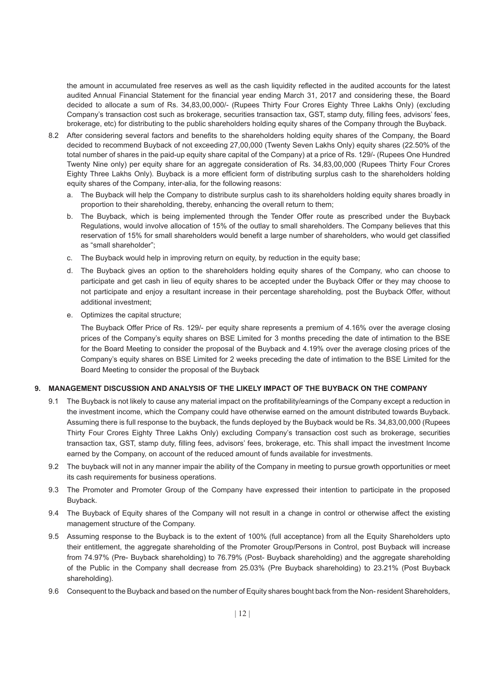the amount in accumulated free reserves as well as the cash liquidity reflected in the audited accounts for the latest audited Annual Financial Statement for the financial year ending March 31, 2017 and considering these, the Board decided to allocate a sum of Rs. 34,83,00,000/- (Rupees Thirty Four Crores Eighty Three Lakhs Only) (excluding Company's transaction cost such as brokerage, securities transaction tax, GST, stamp duty, filling fees, advisors' fees, brokerage, etc) for distributing to the public shareholders holding equity shares of the Company through the Buyback.

- 8.2 After considering several factors and benefits to the shareholders holding equity shares of the Company, the Board decided to recommend Buyback of not exceeding 27,00,000 (Twenty Seven Lakhs Only) equity shares (22.50% of the total number of shares in the paid-up equity share capital of the Company) at a price of Rs. 129/- (Rupees One Hundred Twenty Nine only) per equity share for an aggregate consideration of Rs. 34,83,00,000 (Rupees Thirty Four Crores Eighty Three Lakhs Only). Buyback is a more efficient form of distributing surplus cash to the shareholders holding equity shares of the Company, inter-alia, for the following reasons:
	- a. The Buyback will help the Company to distribute surplus cash to its shareholders holding equity shares broadly in proportion to their shareholding, thereby, enhancing the overall return to them;
	- b. The Buyback, which is being implemented through the Tender Offer route as prescribed under the Buyback Regulations, would involve allocation of 15% of the outlay to small shareholders. The Company believes that this reservation of 15% for small shareholders would benefit a large number of shareholders, who would get classified as "small shareholder";
	- c. The Buyback would help in improving return on equity, by reduction in the equity base;
	- d. The Buyback gives an option to the shareholders holding equity shares of the Company, who can choose to participate and get cash in lieu of equity shares to be accepted under the Buyback Offer or they may choose to not participate and enjoy a resultant increase in their percentage shareholding, post the Buyback Offer, without additional investment;
	- e. Optimizes the capital structure;

The Buyback Offer Price of Rs. 129/- per equity share represents a premium of 4.16% over the average closing prices of the Company's equity shares on BSE Limited for 3 months preceding the date of intimation to the BSE for the Board Meeting to consider the proposal of the Buyback and 4.19% over the average closing prices of the Company's equity shares on BSE Limited for 2 weeks preceding the date of intimation to the BSE Limited for the Board Meeting to consider the proposal of the Buyback

# **9. MANAGEMENT DISCUSSION AND ANALYSIS OF THE LIKELY IMPACT OF THE BUYBACK ON THE COMPANY**

- 9.1 The Buyback is not likely to cause any material impact on the profitability/earnings of the Company except a reduction in the investment income, which the Company could have otherwise earned on the amount distributed towards Buyback. Assuming there is full response to the buyback, the funds deployed by the Buyback would be Rs. 34,83,00,000 (Rupees Thirty Four Crores Eighty Three Lakhs Only) excluding Company's transaction cost such as brokerage, securities transaction tax, GST, stamp duty, filling fees, advisors' fees, brokerage, etc. This shall impact the investment Income earned by the Company, on account of the reduced amount of funds available for investments.
- 9.2 The buyback will not in any manner impair the ability of the Company in meeting to pursue growth opportunities or meet its cash requirements for business operations.
- 9.3 The Promoter and Promoter Group of the Company have expressed their intention to participate in the proposed Buyback.
- 9.4 The Buyback of Equity shares of the Company will not result in a change in control or otherwise affect the existing management structure of the Company.
- 9.5 Assuming response to the Buyback is to the extent of 100% (full acceptance) from all the Equity Shareholders upto their entitlement, the aggregate shareholding of the Promoter Group/Persons in Control, post Buyback will increase from 74.97% (Pre- Buyback shareholding) to 76.79% (Post- Buyback shareholding) and the aggregate shareholding of the Public in the Company shall decrease from 25.03% (Pre Buyback shareholding) to 23.21% (Post Buyback shareholding).
- 9.6 Consequent to the Buyback and based on the number of Equity shares bought back from the Non- resident Shareholders,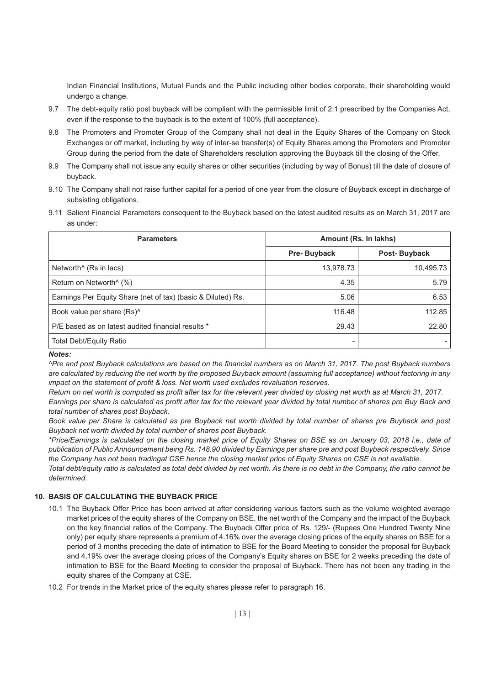Indian Financial Institutions, Mutual Funds and the Public including other bodies corporate, their shareholding would undergo a change.

- 9.7 The debt-equity ratio post buyback will be compliant with the permissible limit of 2:1 prescribed by the Companies Act, even if the response to the buyback is to the extent of 100% (full acceptance).
- 9.8 The Promoters and Promoter Group of the Company shall not deal in the Equity Shares of the Company on Stock Exchanges or off market, including by way of inter-se transfer(s) of Equity Shares among the Promoters and Promoter Group during the period from the date of Shareholders resolution approving the Buyback till the closing of the Offer.
- 9.9 The Company shall not issue any equity shares or other securities (including by way of Bonus) till the date of closure of buyback.
- 9.10 The Company shall not raise further capital for a period of one year from the closure of Buyback except in discharge of subsisting obligations.
- 9.11 Salient Financial Parameters consequent to the Buyback based on the latest audited results as on March 31, 2017 are as under:

| <b>Parameters</b>                                            | Amount (Rs. In lakhs) |              |  |  |
|--------------------------------------------------------------|-----------------------|--------------|--|--|
|                                                              | Pre-Buyback           | Post-Buyback |  |  |
| Networth <sup>^</sup> (Rs in lacs)                           | 13,978.73             | 10,495.73    |  |  |
| Return on Networth <sup>^</sup> (%)                          | 4.35                  | 5.79         |  |  |
| Earnings Per Equity Share (net of tax) (basic & Diluted) Rs. | 5.06                  | 6.53         |  |  |
| Book value per share (Rs) <sup>^</sup>                       | 116.48                | 112.85       |  |  |
| P/E based as on latest audited financial results *           | 29.43                 | 22.80        |  |  |
| Total Debt/Equity Ratio                                      |                       |              |  |  |

# *Notes:*

*^Pre and post Buyback calculations are based on the financial numbers as on March 31, 2017. The post Buyback numbers are calculated by reducing the net worth by the proposed Buyback amount (assuming full acceptance) without factoring in any impact on the statement of profit & loss. Net worth used excludes revaluation reserves.*

*Return on net worth is computed as profit after tax for the relevant year divided by closing net worth as at March 31, 2017.*

*Earnings per share is calculated as profit after tax for the relevant year divided by total number of shares pre Buy Back and total number of shares post Buyback.*

*Book value per Share is calculated as pre Buyback net worth divided by total number of shares pre Buyback and post Buyback net worth divided by total number of shares post Buyback.*

*\*Price/Earnings is calculated on the closing market price of Equity Shares on BSE as on January 03, 2018 i.e., date of publication of Public Announcement being Rs. 148.90 divided by Earnings per share pre and post Buyback respectively. Since the Company has not been tradingat CSE hence the closing market price of Equity Shares on CSE is not available.*

*Total debt/equity ratio is calculated as total debt divided by net worth. As there is no debt in the Company, the ratio cannot be determined.*

### **10. BASIS OF CALCULATING THE BUYBACK PRICE**

- 10.1 The Buyback Offer Price has been arrived at after considering various factors such as the volume weighted average market prices of the equity shares of the Company on BSE, the net worth of the Company and the impact of the Buyback on the key financial ratios of the Company. The Buyback Offer price of Rs. 129/- (Rupees One Hundred Twenty Nine only) per equity share represents a premium of 4.16% over the average closing prices of the equity shares on BSE for a period of 3 months preceding the date of intimation to BSE for the Board Meeting to consider the proposal for Buyback and 4.19% over the average closing prices of the Company's Equity shares on BSE for 2 weeks preceding the date of intimation to BSE for the Board Meeting to consider the proposal of Buyback. There has not been any trading in the equity shares of the Company at CSE.
- 10.2 For trends in the Market price of the equity shares please refer to paragraph 16.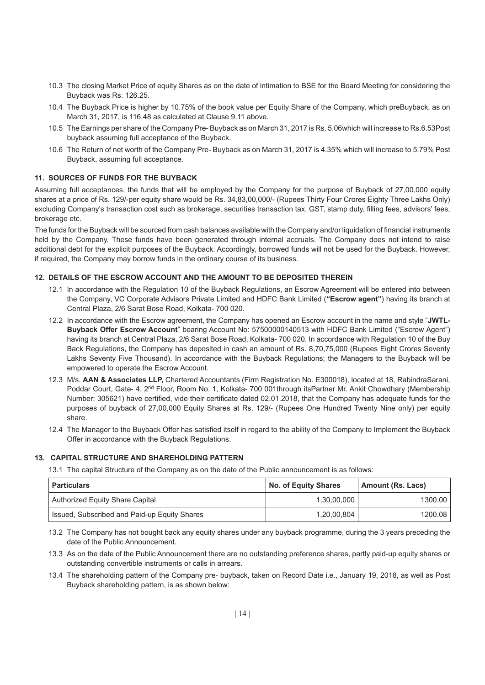- 10.3 The closing Market Price of equity Shares as on the date of intimation to BSE for the Board Meeting for considering the Buyback was Rs. 126.25.
- 10.4 The Buyback Price is higher by 10.75% of the book value per Equity Share of the Company, which preBuyback, as on March 31, 2017, is 116.48 as calculated at Clause 9.11 above.
- 10.5 The Earnings per share of the Company Pre- Buyback as on March 31, 2017 is Rs. 5.06which will increase to Rs.6.53Post buyback assuming full acceptance of the Buyback.
- 10.6 The Return of net worth of the Company Pre- Buyback as on March 31, 2017 is 4.35% which will increase to 5.79% Post Buyback, assuming full acceptance.

# **11. SOURCES OF FUNDS FOR THE BUYBACK**

Assuming full acceptances, the funds that will be employed by the Company for the purpose of Buyback of 27,00,000 equity shares at a price of Rs. 129/-per equity share would be Rs. 34,83,00,000/- (Rupees Thirty Four Crores Eighty Three Lakhs Only) excluding Company's transaction cost such as brokerage, securities transaction tax, GST, stamp duty, filling fees, advisors' fees, brokerage etc.

The funds for the Buyback will be sourced from cash balances available with the Company and/or liquidation of financial instruments held by the Company. These funds have been generated through internal accruals. The Company does not intend to raise additional debt for the explicit purposes of the Buyback. Accordingly, borrowed funds will not be used for the Buyback. However, if required, the Company may borrow funds in the ordinary course of its business.

# **12. DETAILS OF THE ESCROW ACCOUNT AND THE AMOUNT TO BE DEPOSITED THEREIN**

- 12.1 In accordance with the Regulation 10 of the Buyback Regulations, an Escrow Agreement will be entered into between the Company, VC Corporate Advisors Private Limited and HDFC Bank Limited (**"Escrow agent"**) having its branch at Central Plaza, 2/6 Sarat Bose Road, Kolkata- 700 020.
- 12.2 In accordance with the Escrow agreement, the Company has opened an Escrow account in the name and style "**JWTL-Buyback Offer Escrow Account**" bearing Account No: 57500000140513 with HDFC Bank Limited ("Escrow Agent") having its branch at Central Plaza, 2/6 Sarat Bose Road, Kolkata- 700 020. In accordance with Regulation 10 of the Buy Back Regulations, the Company has deposited in cash an amount of Rs. 8,70,75,000 (Rupees Eight Crores Seventy Lakhs Seventy Five Thousand). In accordance with the Buyback Regulations; the Managers to the Buyback will be empowered to operate the Escrow Account.
- 12.3 M/s. **AAN & Associates LLP,** Chartered Accountants (Firm Registration No. E300018), located at 18, RabindraSarani, Poddar Court, Gate- 4, 2<sup>nd</sup> Floor, Room No. 1, Kolkata- 700 001through itsPartner Mr. Ankit Chowdhary (Membership Number: 305621) have certified, vide their certificate dated 02.01.2018, that the Company has adequate funds for the purposes of buyback of 27,00,000 Equity Shares at Rs. 129/- (Rupees One Hundred Twenty Nine only) per equity share.
- 12.4 The Manager to the Buyback Offer has satisfied itself in regard to the ability of the Company to Implement the Buyback Offer in accordance with the Buyback Regulations.

# **13. CAPITAL STRUCTURE AND SHAREHOLDING PATTERN**

13.1 The capital Structure of the Company as on the date of the Public announcement is as follows:

| <b>Particulars</b>                           | No. of Equity Shares | Amount (Rs. Lacs) |
|----------------------------------------------|----------------------|-------------------|
| Authorized Equity Share Capital              | 1.30.00.000          | 1300.00           |
| Issued, Subscribed and Paid-up Equity Shares | 1.20.00.804          | 1200.08           |

- 13.2 The Company has not bought back any equity shares under any buyback programme, during the 3 years preceding the date of the Public Announcement.
- 13.3 As on the date of the Public Announcement there are no outstanding preference shares, partly paid-up equity shares or outstanding convertible instruments or calls in arrears.
- 13.4 The shareholding pattern of the Company pre- buyback, taken on Record Date i.e., January 19, 2018, as well as Post Buyback shareholding pattern, is as shown below: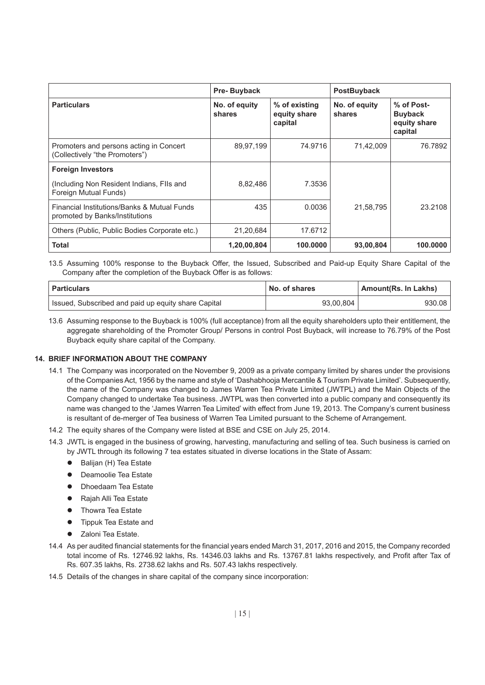|                                                                               | <b>Pre-Buyback</b>      |                                          | <b>PostBuyback</b>      |                                                         |
|-------------------------------------------------------------------------------|-------------------------|------------------------------------------|-------------------------|---------------------------------------------------------|
| <b>Particulars</b>                                                            | No. of equity<br>shares | % of existing<br>equity share<br>capital | No. of equity<br>shares | % of Post-<br><b>Buyback</b><br>equity share<br>capital |
| Promoters and persons acting in Concert<br>(Collectively "the Promoters")     | 89,97,199               | 74.9716                                  | 71,42,009               | 76.7892                                                 |
| <b>Foreign Investors</b>                                                      |                         |                                          |                         |                                                         |
| (Including Non Resident Indians, FIIs and<br>Foreign Mutual Funds)            | 8,82,486                | 7.3536                                   |                         |                                                         |
| Financial Institutions/Banks & Mutual Funds<br>promoted by Banks/Institutions | 435                     | 0.0036                                   | 21,58,795               | 23.2108                                                 |
| Others (Public, Public Bodies Corporate etc.)                                 | 21,20,684               | 17.6712                                  |                         |                                                         |
| Total                                                                         | 1,20,00,804             | 100.0000                                 | 93,00,804               | 100.0000                                                |

13.5 Assuming 100% response to the Buyback Offer, the Issued, Subscribed and Paid-up Equity Share Capital of the Company after the completion of the Buyback Offer is as follows:

| ' Particulars                                       | No. of shares | Amount(Rs. In Lakhs) |
|-----------------------------------------------------|---------------|----------------------|
| Issued, Subscribed and paid up equity share Capital | 93.00.804     | 930.08               |

13.6 Assuming response to the Buyback is 100% (full acceptance) from all the equity shareholders upto their entitlement, the aggregate shareholding of the Promoter Group/ Persons in control Post Buyback, will increase to 76.79% of the Post Buyback equity share capital of the Company.

#### **14. BRIEF INFORMATION ABOUT THE COMPANY**

- 14.1 The Company was incorporated on the November 9, 2009 as a private company limited by shares under the provisions of the Companies Act, 1956 by the name and style of 'Dashabhooja Mercantile & Tourism Private Limited'. Subsequently, the name of the Company was changed to James Warren Tea Private Limited (JWTPL) and the Main Objects of the Company changed to undertake Tea business. JWTPL was then converted into a public company and consequently its name was changed to the 'James Warren Tea Limited' with effect from June 19, 2013. The Company's current business is resultant of de-merger of Tea business of Warren Tea Limited pursuant to the Scheme of Arrangement.
- 14.2 The equity shares of the Company were listed at BSE and CSE on July 25, 2014.
- 14.3 JWTL is engaged in the business of growing, harvesting, manufacturing and selling of tea. Such business is carried on by JWTL through its following 7 tea estates situated in diverse locations in the State of Assam:
	- Balijan (H) Tea Estate
	- Deamoolie Tea Estate
	- l Dhoedaam Tea Estate
	- **•** Rajah Alli Tea Estate
	- **Thowra Tea Estate**
	- **•** Tippuk Tea Estate and
	- Zaloni Tea Estate.
- 14.4 As per audited financial statements for the financial years ended March 31, 2017, 2016 and 2015, the Company recorded total income of Rs. 12746.92 lakhs, Rs. 14346.03 lakhs and Rs. 13767.81 lakhs respectively, and Profit after Tax of Rs. 607.35 lakhs, Rs. 2738.62 lakhs and Rs. 507.43 lakhs respectively.
- 14.5 Details of the changes in share capital of the company since incorporation: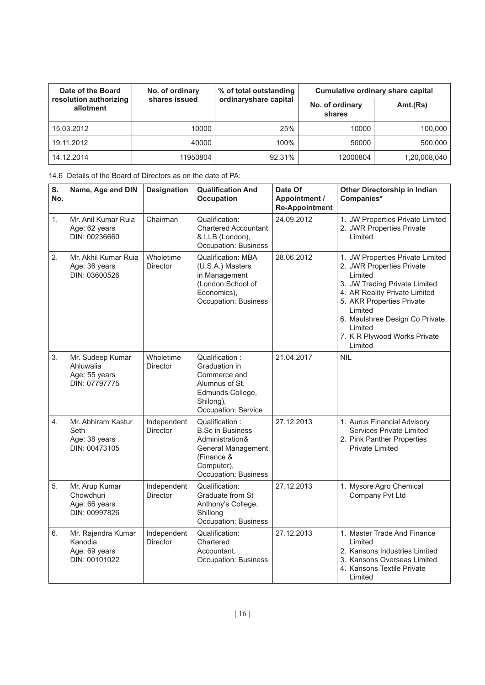| Date of the Board                   | No. of ordinary | % of total outstanding |                           | Cumulative ordinary share capital |  |
|-------------------------------------|-----------------|------------------------|---------------------------|-----------------------------------|--|
| resolution authorizing<br>allotment | shares issued   | ordinaryshare capital  | No. of ordinary<br>shares | Amt.(Rs)                          |  |
| 15.03.2012                          | 10000           | 25%                    | 10000                     | 100,000                           |  |
| 19.11.2012                          | 40000           | 100%                   | 50000                     | 500,000                           |  |
| 14.12.2014                          | 11950804        | 92.31%                 | 12000804                  | 1,20,008,040                      |  |

14.6 Details of the Board of Directors as on the date of PA:

| S.<br>No. | Name, Age and DIN                                               | <b>Designation</b>             | <b>Qualification And</b><br><b>Occupation</b>                                                                                                        | Date Of<br>Appointment /<br><b>Re-Appointment</b> | Other Directorship in Indian<br>Companies*                                                                                                                                                                                                                                 |
|-----------|-----------------------------------------------------------------|--------------------------------|------------------------------------------------------------------------------------------------------------------------------------------------------|---------------------------------------------------|----------------------------------------------------------------------------------------------------------------------------------------------------------------------------------------------------------------------------------------------------------------------------|
| 1.        | Mr. Anil Kumar Ruia<br>Age: 62 years<br>DIN: 00236660           | Chairman                       | Qualification:<br><b>Chartered Accountant</b><br>& LLB (London),<br>Occupation: Business                                                             | 24.09.2012                                        | 1. JW Properties Private Limited<br>2. JWR Properties Private<br>Limited                                                                                                                                                                                                   |
| 2.        | Mr. Akhil Kumar Ruia<br>Age: 36 years<br>DIN: 03600526          | Wholetime<br><b>Director</b>   | <b>Qualification: MBA</b><br>(U.S.A.) Masters<br>in Management<br>(London School of<br>Economics),<br><b>Occupation: Business</b>                    | 28.06.2012                                        | 1. JW Properties Private Limited<br>2. JWR Properties Private<br>Limited<br>3. JW Trading Private Limited<br>4. AR Reality Private Limited<br>5. AKR Properties Private<br>Limited<br>6. Maulshree Design Co Private<br>Limited<br>7. K R Plywood Works Private<br>Limited |
| 3.        | Mr. Sudeep Kumar<br>Ahluwalia<br>Age: 55 years<br>DIN: 07797775 | Wholetime<br><b>Director</b>   | Qualification:<br>Graduation in<br>Commerce and<br>Alumnus of St.<br>Edmunds College,<br>Shilong),<br>Occupation: Service                            | 21.04.2017                                        | <b>NIL</b>                                                                                                                                                                                                                                                                 |
| 4.        | Mr. Abhiram Kastur<br>Seth<br>Age: 38 years<br>DIN: 00473105    | Independent<br><b>Director</b> | Qualification:<br><b>B.Sc in Business</b><br>Administration&<br><b>General Management</b><br>(Finance &<br>Computer),<br><b>Occupation: Business</b> | 27.12.2013                                        | 1. Aurus Financial Advisory<br>Services Private Limited<br>2. Pink Panther Properties<br><b>Private Limited</b>                                                                                                                                                            |
| 5.        | Mr. Arup Kumar<br>Chowdhuri<br>Age: 66 years<br>DIN: 00997826   | Independent<br><b>Director</b> | Qualification:<br>Graduate from St<br>Anthony's College,<br>Shillong<br><b>Occupation: Business</b>                                                  | 27.12.2013                                        | 1. Mysore Agro Chemical<br>Company Pvt Ltd                                                                                                                                                                                                                                 |
| 6.        | Mr. Rajendra Kumar<br>Kanodia<br>Age: 69 years<br>DIN: 00101022 | Independent<br>Director        | Qualification:<br>Chartered<br>Accountant,<br><b>Occupation: Business</b>                                                                            | 27.12.2013                                        | 1. Master Trade And Finance<br>Limited<br>2. Kansons Industries Limited<br>3. Kansons Overseas Limited<br>4. Kansons Textile Private<br>Limited                                                                                                                            |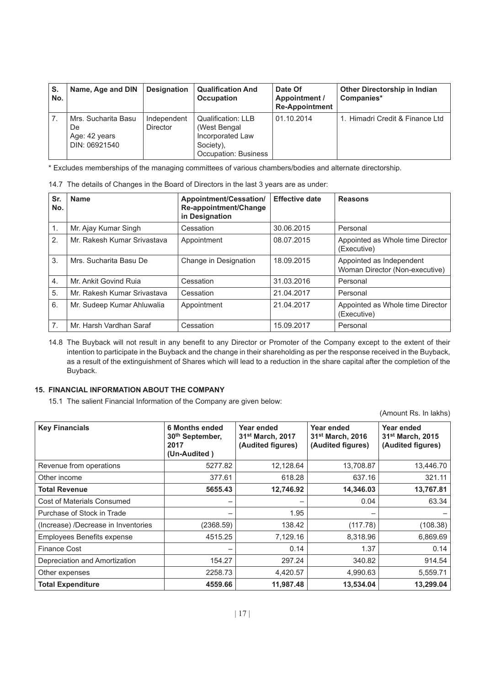| S.<br>No. | Name, Age and DIN                                           | Designation                    | <b>Qualification And</b><br><b>Occupation</b>                                                | Date Of<br>Appointment /<br><b>Re-Appointment</b> | <b>Other Directorship in Indian</b><br>Companies* |
|-----------|-------------------------------------------------------------|--------------------------------|----------------------------------------------------------------------------------------------|---------------------------------------------------|---------------------------------------------------|
|           | Mrs. Sucharita Basu<br>De<br>Age: 42 years<br>DIN: 06921540 | Independent<br><b>Director</b> | Qualification: LLB<br>(West Bengal)<br>Incorporated Law<br>Society),<br>Occupation: Business | 01.10.2014                                        | 1. Himadri Credit & Finance Ltd                   |

\* Excludes memberships of the managing committees of various chambers/bodies and alternate directorship.

|  | 14.7 The details of Changes in the Board of Directors in the last 3 years are as under: |  |
|--|-----------------------------------------------------------------------------------------|--|
|--|-----------------------------------------------------------------------------------------|--|

| Sr.<br>No.       | <b>Name</b>                 | Appointment/Cessation/<br>Re-appointment/Change<br>in Designation | <b>Effective date</b> | <b>Reasons</b>                                             |
|------------------|-----------------------------|-------------------------------------------------------------------|-----------------------|------------------------------------------------------------|
| 1.               | Mr. Ajay Kumar Singh        | Cessation                                                         | 30.06.2015            | Personal                                                   |
| 2.               | Mr. Rakesh Kumar Srivastava | Appointment                                                       | 08.07.2015            | Appointed as Whole time Director<br>(Executive)            |
| 3.               | Mrs. Sucharita Basu De      | Change in Designation                                             | 18.09.2015            | Appointed as Independent<br>Woman Director (Non-executive) |
| $\overline{4}$ . | Mr. Ankit Govind Ruia       | Cessation                                                         | 31.03.2016            | Personal                                                   |
| 5.               | Mr. Rakesh Kumar Srivastava | Cessation                                                         | 21.04.2017            | Personal                                                   |
| 6.               | Mr. Sudeep Kumar Ahluwalia  | Appointment                                                       | 21.04.2017            | Appointed as Whole time Director<br>(Executive)            |
| 7.               | Mr. Harsh Vardhan Saraf     | Cessation                                                         | 15.09.2017            | Personal                                                   |

14.8 The Buyback will not result in any benefit to any Director or Promoter of the Company except to the extent of their intention to participate in the Buyback and the change in their shareholding as per the response received in the Buyback, as a result of the extinguishment of Shares which will lead to a reduction in the share capital after the completion of the Buyback.

# **15. FINANCIAL INFORMATION ABOUT THE COMPANY**

15.1 The salient Financial Information of the Company are given below:

(Amount Rs. In lakhs)

| <b>Key Financials</b>               | <b>6 Months ended</b><br>30 <sup>th</sup> September,<br>2017<br>(Un-Audited) | Year ended<br>31 <sup>st</sup> March, 2017<br>(Audited figures) | Year ended<br>31 <sup>st</sup> March, 2016<br>(Audited figures) | Year ended<br>31 <sup>st</sup> March, 2015<br>(Audited figures) |
|-------------------------------------|------------------------------------------------------------------------------|-----------------------------------------------------------------|-----------------------------------------------------------------|-----------------------------------------------------------------|
| Revenue from operations             | 5277.82                                                                      | 12,128.64                                                       | 13,708.87                                                       | 13,446.70                                                       |
| Other income                        | 377.61                                                                       | 618.28                                                          | 637.16                                                          | 321.11                                                          |
| <b>Total Revenue</b>                | 5655.43                                                                      | 12,746.92                                                       | 14,346.03                                                       | 13,767.81                                                       |
| Cost of Materials Consumed          | -                                                                            | —                                                               | 0.04                                                            | 63.34                                                           |
| Purchase of Stock in Trade          |                                                                              | 1.95                                                            |                                                                 |                                                                 |
| (Increase) /Decrease in Inventories | (2368.59)                                                                    | 138.42                                                          | (117.78)                                                        | (108.38)                                                        |
| <b>Employees Benefits expense</b>   | 4515.25                                                                      | 7,129.16                                                        | 8,318.96                                                        | 6,869.69                                                        |
| Finance Cost                        |                                                                              | 0.14                                                            | 1.37                                                            | 0.14                                                            |
| Depreciation and Amortization       | 154.27                                                                       | 297.24                                                          | 340.82                                                          | 914.54                                                          |
| Other expenses                      | 2258.73                                                                      | 4,420.57                                                        | 4,990.63                                                        | 5,559.71                                                        |
| <b>Total Expenditure</b>            | 4559.66                                                                      | 11.987.48                                                       | 13.534.04                                                       | 13.299.04                                                       |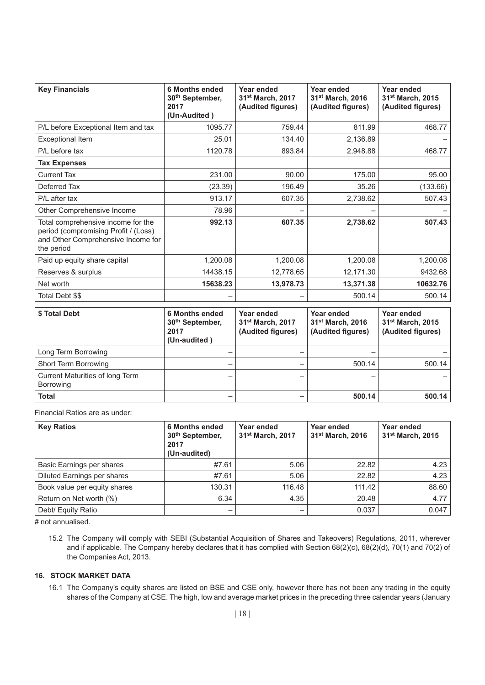| <b>Key Financials</b>                                                                                                          | <b>6 Months ended</b><br>30th September,<br>2017<br>(Un-Audited) | Year ended<br>31 <sup>st</sup> March, 2017<br>(Audited figures) | Year ended<br>31 <sup>st</sup> March, 2016<br>(Audited figures) | Year ended<br>31 <sup>st</sup> March, 2015<br>(Audited figures) |
|--------------------------------------------------------------------------------------------------------------------------------|------------------------------------------------------------------|-----------------------------------------------------------------|-----------------------------------------------------------------|-----------------------------------------------------------------|
| P/L before Exceptional Item and tax                                                                                            | 1095.77                                                          | 759.44                                                          | 811.99                                                          | 468.77                                                          |
| <b>Exceptional Item</b>                                                                                                        | 25.01                                                            | 134.40                                                          | 2,136.89                                                        |                                                                 |
| P/L before tax                                                                                                                 | 1120.78                                                          | 893.84                                                          | 2,948.88                                                        | 468.77                                                          |
| <b>Tax Expenses</b>                                                                                                            |                                                                  |                                                                 |                                                                 |                                                                 |
| <b>Current Tax</b>                                                                                                             | 231.00                                                           | 90.00                                                           | 175.00                                                          | 95.00                                                           |
| Deferred Tax                                                                                                                   | (23.39)                                                          | 196.49                                                          | 35.26                                                           | (133.66)                                                        |
| P/L after tax                                                                                                                  | 913.17                                                           | 607.35                                                          | 2,738.62                                                        | 507.43                                                          |
| Other Comprehensive Income                                                                                                     | 78.96                                                            |                                                                 |                                                                 |                                                                 |
| Total comprehensive income for the<br>period (compromising Profit / (Loss)<br>and Other Comprehensive Income for<br>the period | 992.13                                                           | 607.35                                                          | 2,738.62                                                        | 507.43                                                          |
| Paid up equity share capital                                                                                                   | 1,200.08                                                         | 1,200.08                                                        | 1,200.08                                                        | 1,200.08                                                        |
| Reserves & surplus                                                                                                             | 14438.15                                                         | 12,778.65                                                       | 12,171.30                                                       | 9432.68                                                         |
| Net worth                                                                                                                      | 15638.23                                                         | 13,978.73                                                       | 13,371.38                                                       | 10632.76                                                        |
| Total Debt \$\$                                                                                                                |                                                                  |                                                                 | 500.14                                                          | 500.14                                                          |

| \$ Total Debt                                       | 6 Months ended<br>30th September,<br>2017<br>(Un-audited) | Year ended<br>31 <sup>st</sup> March, 2017<br>(Audited figures) | Year ended<br>31 <sup>st</sup> March, 2016<br>(Audited figures) | Year ended<br>31 <sup>st</sup> March, 2015<br>(Audited figures) |
|-----------------------------------------------------|-----------------------------------------------------------|-----------------------------------------------------------------|-----------------------------------------------------------------|-----------------------------------------------------------------|
| Long Term Borrowing                                 | -                                                         | -                                                               |                                                                 |                                                                 |
| Short Term Borrowing                                |                                                           |                                                                 | 500.14                                                          | 500.14                                                          |
| Current Maturities of long Term<br><b>Borrowing</b> |                                                           | -                                                               |                                                                 |                                                                 |
| <b>Total</b>                                        |                                                           | -                                                               | 500.14                                                          | 500.14                                                          |

Financial Ratios are as under:

| <b>Key Ratios</b>            | <b>6 Months ended</b><br>30 <sup>th</sup> September,<br>2017<br>(Un-audited) | Year ended<br>31 <sup>st</sup> March, 2017 | Year ended<br>31 <sup>st</sup> March, 2016 | Year ended<br>31 <sup>st</sup> March, 2015 |
|------------------------------|------------------------------------------------------------------------------|--------------------------------------------|--------------------------------------------|--------------------------------------------|
| Basic Earnings per shares    | #7.61                                                                        | 5.06                                       | 22.82                                      | 4.23                                       |
| Diluted Earnings per shares  | #7.61                                                                        | 5.06                                       | 22.82                                      | 4.23                                       |
| Book value per equity shares | 130.31                                                                       | 116.48                                     | 111.42                                     | 88.60                                      |
| Return on Net worth (%)      | 6.34                                                                         | 4.35                                       | 20.48                                      | 4.77                                       |
| Debt/ Equity Ratio           | $\overline{\phantom{0}}$                                                     |                                            | 0.037                                      | 0.047                                      |

# not annualised.

15.2 The Company will comply with SEBI (Substantial Acquisition of Shares and Takeovers) Regulations, 2011, wherever and if applicable. The Company hereby declares that it has complied with Section 68(2)(c), 68(2)(d), 70(1) and 70(2) of the Companies Act, 2013.

# **16. STOCK MARKET DATA**

16.1 The Company's equity shares are listed on BSE and CSE only, however there has not been any trading in the equity shares of the Company at CSE. The high, low and average market prices in the preceding three calendar years (January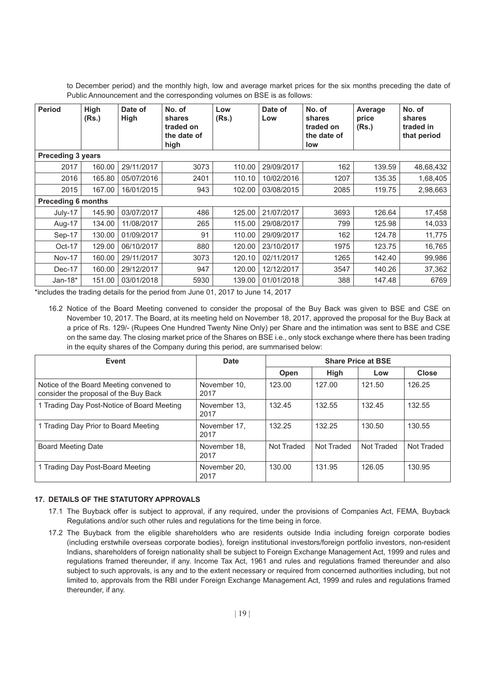to December period) and the monthly high, low and average market prices for the six months preceding the date of Public Announcement and the corresponding volumes on BSE is as follows:

| <b>Period</b>             | High<br>(Rs.) | Date of<br>High | No. of<br>shares<br>traded on<br>the date of<br>high | Low<br>(Rs.) | Date of<br>Low | No. of<br>shares<br>traded on<br>the date of<br>low | Average<br>price<br>(Rs.) | No. of<br>shares<br>traded in<br>that period |
|---------------------------|---------------|-----------------|------------------------------------------------------|--------------|----------------|-----------------------------------------------------|---------------------------|----------------------------------------------|
| <b>Preceding 3 years</b>  |               |                 |                                                      |              |                |                                                     |                           |                                              |
| 2017                      | 160.00        | 29/11/2017      | 3073                                                 | 110.00       | 29/09/2017     | 162                                                 | 139.59                    | 48,68,432                                    |
| 2016                      | 165.80        | 05/07/2016      | 2401                                                 | 110.10       | 10/02/2016     | 1207                                                | 135.35                    | 1,68,405                                     |
| 2015                      | 167.00        | 16/01/2015      | 943                                                  | 102.00       | 03/08/2015     | 2085                                                | 119.75                    | 2,98,663                                     |
| <b>Preceding 6 months</b> |               |                 |                                                      |              |                |                                                     |                           |                                              |
| July-17                   | 145.90        | 03/07/2017      | 486                                                  | 125.00       | 21/07/2017     | 3693                                                | 126.64                    | 17,458                                       |
| Aug-17                    | 134.00        | 11/08/2017      | 265                                                  | 115.00       | 29/08/2017     | 799                                                 | 125.98                    | 14,033                                       |
| Sep-17                    | 130.00        | 01/09/2017      | 91                                                   | 110.00       | 29/09/2017     | 162                                                 | 124.78                    | 11,775                                       |
| $Oct-17$                  | 129.00        | 06/10/2017      | 880                                                  | 120.00       | 23/10/2017     | 1975                                                | 123.75                    | 16,765                                       |
| <b>Nov-17</b>             | 160.00        | 29/11/2017      | 3073                                                 | 120.10       | 02/11/2017     | 1265                                                | 142.40                    | 99,986                                       |
| Dec-17                    | 160.00        | 29/12/2017      | 947                                                  | 120.00       | 12/12/2017     | 3547                                                | 140.26                    | 37,362                                       |
| Jan-18 $*$                | 151.00        | 03/01/2018      | 5930                                                 | 139.00       | 01/01/2018     | 388                                                 | 147.48                    | 6769                                         |

\*includes the trading details for the period from June 01, 2017 to June 14, 2017

16.2 Notice of the Board Meeting convened to consider the proposal of the Buy Back was given to BSE and CSE on November 10, 2017. The Board, at its meeting held on November 18, 2017, approved the proposal for the Buy Back at a price of Rs. 129/- (Rupees One Hundred Twenty Nine Only) per Share and the intimation was sent to BSE and CSE on the same day. The closing market price of the Shares on BSE i.e., only stock exchange where there has been trading in the equity shares of the Company during this period, are summarised below:

| Event                                                                            | <b>Date</b>          | <b>Share Price at BSE</b> |             |            |              |
|----------------------------------------------------------------------------------|----------------------|---------------------------|-------------|------------|--------------|
|                                                                                  |                      | Open                      | <b>High</b> | Low        | <b>Close</b> |
| Notice of the Board Meeting convened to<br>consider the proposal of the Buy Back | November 10.<br>2017 | 123.00                    | 127.00      | 121.50     | 126.25       |
| 1 Trading Day Post-Notice of Board Meeting                                       | November 13.<br>2017 | 132.45                    | 132.55      | 132.45     | 132.55       |
| 1 Trading Day Prior to Board Meeting                                             | November 17.<br>2017 | 132.25                    | 132.25      | 130.50     | 130.55       |
| <b>Board Meeting Date</b>                                                        | November 18.<br>2017 | Not Traded                | Not Traded  | Not Traded | Not Traded   |
| 1 Trading Day Post-Board Meeting                                                 | November 20.<br>2017 | 130.00                    | 131.95      | 126.05     | 130.95       |

# **17. DETAILS OF THE STATUTORY APPROVALS**

- 17.1 The Buyback offer is subject to approval, if any required, under the provisions of Companies Act, FEMA, Buyback Regulations and/or such other rules and regulations for the time being in force.
- 17.2 The Buyback from the eligible shareholders who are residents outside India including foreign corporate bodies (including erstwhile overseas corporate bodies), foreign institutional investors/foreign portfolio investors, non-resident Indians, shareholders of foreign nationality shall be subject to Foreign Exchange Management Act, 1999 and rules and regulations framed thereunder, if any. Income Tax Act, 1961 and rules and regulations framed thereunder and also subject to such approvals, is any and to the extent necessary or required from concerned authorities including, but not limited to, approvals from the RBI under Foreign Exchange Management Act, 1999 and rules and regulations framed thereunder, if any.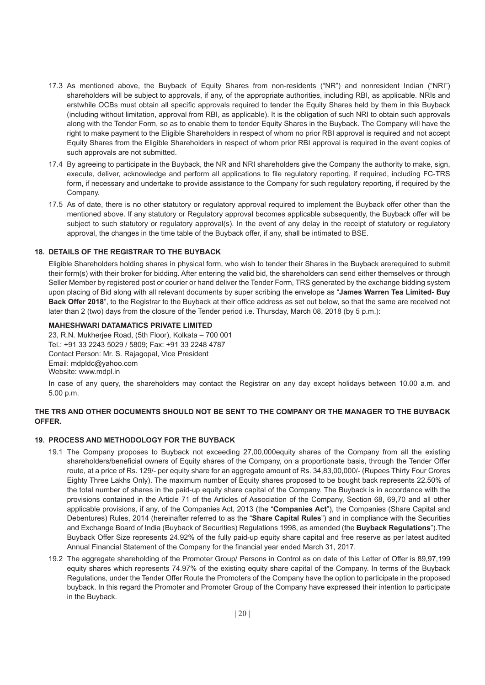- 17.3 As mentioned above, the Buyback of Equity Shares from non-residents ("NR") and nonresident Indian ("NRI") shareholders will be subject to approvals, if any, of the appropriate authorities, including RBI, as applicable. NRIs and erstwhile OCBs must obtain all specific approvals required to tender the Equity Shares held by them in this Buyback (including without limitation, approval from RBI, as applicable). It is the obligation of such NRI to obtain such approvals along with the Tender Form, so as to enable them to tender Equity Shares in the Buyback. The Company will have the right to make payment to the Eligible Shareholders in respect of whom no prior RBI approval is required and not accept Equity Shares from the Eligible Shareholders in respect of whom prior RBI approval is required in the event copies of such approvals are not submitted.
- 17.4 By agreeing to participate in the Buyback, the NR and NRI shareholders give the Company the authority to make, sign, execute, deliver, acknowledge and perform all applications to file regulatory reporting, if required, including FC-TRS form, if necessary and undertake to provide assistance to the Company for such regulatory reporting, if required by the Company.
- 17.5 As of date, there is no other statutory or regulatory approval required to implement the Buyback offer other than the mentioned above. If any statutory or Regulatory approval becomes applicable subsequently, the Buyback offer will be subject to such statutory or regulatory approval(s). In the event of any delay in the receipt of statutory or regulatory approval, the changes in the time table of the Buyback offer, if any, shall be intimated to BSE.

#### **18. DETAILS OF THE REGISTRAR TO THE BUYBACK**

Eligible Shareholders holding shares in physical form, who wish to tender their Shares in the Buyback arerequired to submit their form(s) with their broker for bidding. After entering the valid bid, the shareholders can send either themselves or through Seller Member by registered post or courier or hand deliver the Tender Form, TRS generated by the exchange bidding system upon placing of Bid along with all relevant documents by super scribing the envelope as "**James Warren Tea Limited- Buy Back Offer 2018**", to the Registrar to the Buyback at their office address as set out below, so that the same are received not later than 2 (two) days from the closure of the Tender period i.e. Thursday, March 08, 2018 (by 5 p.m.):

# **MAHESHWARI DATAMATICS PRIVATE LIMITED**

23, R.N. Mukherjee Road, (5th Floor), Kolkata – 700 001 Tel.: +91 33 2243 5029 / 5809; Fax: +91 33 2248 4787 Contact Person: Mr. S. Rajagopal, Vice President Email: mdpldc@yahoo.com Website: www.mdpl.in

In case of any query, the shareholders may contact the Registrar on any day except holidays between 10.00 a.m. and 5.00 p.m.

# **THE TRS AND OTHER DOCUMENTS SHOULD NOT BE SENT TO THE COMPANY OR THE MANAGER TO THE BUYBACK OFFER.**

#### **19. PROCESS AND METHODOLOGY FOR THE BUYBACK**

- 19.1 The Company proposes to Buyback not exceeding 27,00,000equity shares of the Company from all the existing shareholders/beneficial owners of Equity shares of the Company, on a proportionate basis, through the Tender Offer route, at a price of Rs. 129/- per equity share for an aggregate amount of Rs. 34,83,00,000/- (Rupees Thirty Four Crores Eighty Three Lakhs Only). The maximum number of Equity shares proposed to be bought back represents 22.50% of the total number of shares in the paid-up equity share capital of the Company. The Buyback is in accordance with the provisions contained in the Article 71 of the Articles of Association of the Company, Section 68, 69,70 and all other applicable provisions, if any, of the Companies Act, 2013 (the "**Companies Act**"), the Companies (Share Capital and Debentures) Rules, 2014 (hereinafter referred to as the "**Share Capital Rules**") and in compliance with the Securities and Exchange Board of India (Buyback of Securities) Regulations 1998, as amended (the **Buyback Regulations**").The Buyback Offer Size represents 24.92% of the fully paid-up equity share capital and free reserve as per latest audited Annual Financial Statement of the Company for the financial year ended March 31, 2017.
- 19.2 The aggregate shareholding of the Promoter Group/ Persons in Control as on date of this Letter of Offer is 89,97,199 equity shares which represents 74.97% of the existing equity share capital of the Company. In terms of the Buyback Regulations, under the Tender Offer Route the Promoters of the Company have the option to participate in the proposed buyback. In this regard the Promoter and Promoter Group of the Company have expressed their intention to participate in the Buyback.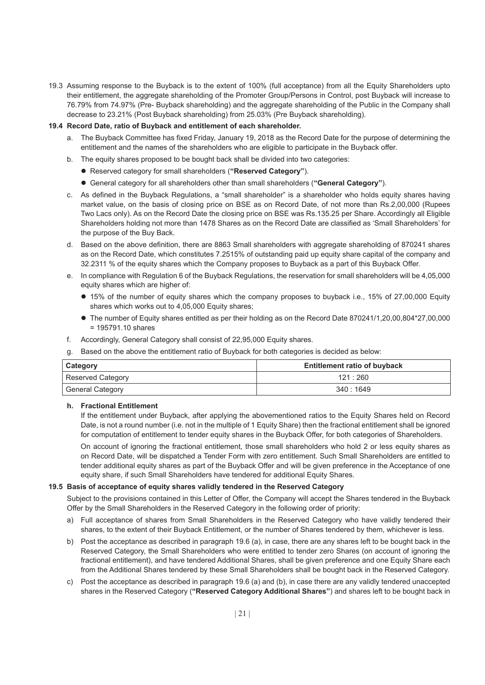19.3 Assuming response to the Buyback is to the extent of 100% (full acceptance) from all the Equity Shareholders upto their entitlement, the aggregate shareholding of the Promoter Group/Persons in Control, post Buyback will increase to 76.79% from 74.97% (Pre- Buyback shareholding) and the aggregate shareholding of the Public in the Company shall decrease to 23.21% (Post Buyback shareholding) from 25.03% (Pre Buyback shareholding).

#### **19.4 Record Date, ratio of Buyback and entitlement of each shareholder.**

- a. The Buyback Committee has fixed Friday, January 19, 2018 as the Record Date for the purpose of determining the entitlement and the names of the shareholders who are eligible to participate in the Buyback offer.
- b. The equity shares proposed to be bought back shall be divided into two categories:
	- l Reserved category for small shareholders (**"Reserved Category"**).
	- l General category for all shareholders other than small shareholders (**"General Category"**).
- c. As defined in the Buyback Regulations, a "small shareholder" is a shareholder who holds equity shares having market value, on the basis of closing price on BSE as on Record Date, of not more than Rs.2,00,000 (Rupees Two Lacs only). As on the Record Date the closing price on BSE was Rs.135.25 per Share. Accordingly all Eligible Shareholders holding not more than 1478 Shares as on the Record Date are classified as 'Small Shareholders' for the purpose of the Buy Back.
- d. Based on the above definition, there are 8863 Small shareholders with aggregate shareholding of 870241 shares as on the Record Date, which constitutes 7.2515% of outstanding paid up equity share capital of the company and 32.2311 % of the equity shares which the Company proposes to Buyback as a part of this Buyback Offer.
- e. In compliance with Regulation 6 of the Buyback Regulations, the reservation for small shareholders will be 4,05,000 equity shares which are higher of:
	- l 15% of the number of equity shares which the company proposes to buyback i.e., 15% of 27,00,000 Equity shares which works out to 4,05,000 Equity shares;
	- l The number of Equity shares entitled as per their holding as on the Record Date 870241/1,20,00,804\*27,00,000 = 195791.10 shares
- f. Accordingly, General Category shall consist of 22,95,000 Equity shares.
- g. Based on the above the entitlement ratio of Buyback for both categories is decided as below:

| Category                 | <b>Entitlement ratio of buyback</b> |
|--------------------------|-------------------------------------|
| <b>Reserved Category</b> | 121:260                             |
| <b>General Category</b>  | 340 : 1649                          |

#### **h. Fractional Entitlement**

If the entitlement under Buyback, after applying the abovementioned ratios to the Equity Shares held on Record Date, is not a round number (i.e. not in the multiple of 1 Equity Share) then the fractional entitlement shall be ignored for computation of entitlement to tender equity shares in the Buyback Offer, for both categories of Shareholders.

 On account of ignoring the fractional entitlement, those small shareholders who hold 2 or less equity shares as on Record Date, will be dispatched a Tender Form with zero entitlement. Such Small Shareholders are entitled to tender additional equity shares as part of the Buyback Offer and will be given preference in the Acceptance of one equity share, if such Small Shareholders have tendered for additional Equity Shares.

### **19.5 Basis of acceptance of equity shares validly tendered in the Reserved Category**

Subject to the provisions contained in this Letter of Offer, the Company will accept the Shares tendered in the Buyback Offer by the Small Shareholders in the Reserved Category in the following order of priority:

- a) Full acceptance of shares from Small Shareholders in the Reserved Category who have validly tendered their shares, to the extent of their Buyback Entitlement, or the number of Shares tendered by them, whichever is less.
- b) Post the acceptance as described in paragraph 19.6 (a), in case, there are any shares left to be bought back in the Reserved Category, the Small Shareholders who were entitled to tender zero Shares (on account of ignoring the fractional entitlement), and have tendered Additional Shares, shall be given preference and one Equity Share each from the Additional Shares tendered by these Small Shareholders shall be bought back in the Reserved Category.
- c) Post the acceptance as described in paragraph 19.6 (a) and (b), in case there are any validly tendered unaccepted shares in the Reserved Category (**"Reserved Category Additional Shares"**) and shares left to be bought back in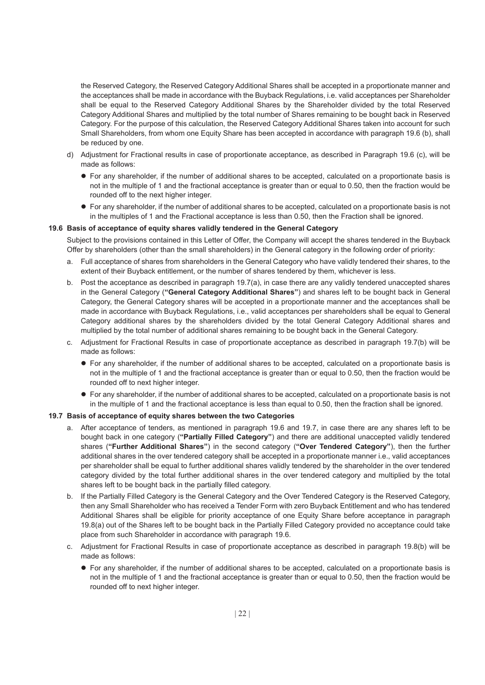the Reserved Category, the Reserved Category Additional Shares shall be accepted in a proportionate manner and the acceptances shall be made in accordance with the Buyback Regulations, i.e. valid acceptances per Shareholder shall be equal to the Reserved Category Additional Shares by the Shareholder divided by the total Reserved Category Additional Shares and multiplied by the total number of Shares remaining to be bought back in Reserved Category. For the purpose of this calculation, the Reserved Category Additional Shares taken into account for such Small Shareholders, from whom one Equity Share has been accepted in accordance with paragraph 19.6 (b), shall be reduced by one.

- d) Adjustment for Fractional results in case of proportionate acceptance, as described in Paragraph 19.6 (c), will be made as follows:
	- For any shareholder, if the number of additional shares to be accepted, calculated on a proportionate basis is not in the multiple of 1 and the fractional acceptance is greater than or equal to 0.50, then the fraction would be rounded off to the next higher integer.
	- l For any shareholder, if the number of additional shares to be accepted, calculated on a proportionate basis is not in the multiples of 1 and the Fractional acceptance is less than 0.50, then the Fraction shall be ignored.

### **19.6 Basis of acceptance of equity shares validly tendered in the General Category**

Subject to the provisions contained in this Letter of Offer, the Company will accept the shares tendered in the Buyback Offer by shareholders (other than the small shareholders) in the General category in the following order of priority:

- a. Full acceptance of shares from shareholders in the General Category who have validly tendered their shares, to the extent of their Buyback entitlement, or the number of shares tendered by them, whichever is less.
- b. Post the acceptance as described in paragraph 19.7(a), in case there are any validly tendered unaccepted shares in the General Category (**"General Category Additional Shares"**) and shares left to be bought back in General Category, the General Category shares will be accepted in a proportionate manner and the acceptances shall be made in accordance with Buyback Regulations, i.e., valid acceptances per shareholders shall be equal to General Category additional shares by the shareholders divided by the total General Category Additional shares and multiplied by the total number of additional shares remaining to be bought back in the General Category.
- c. Adjustment for Fractional Results in case of proportionate acceptance as described in paragraph 19.7(b) will be made as follows:
	- For any shareholder, if the number of additional shares to be accepted, calculated on a proportionate basis is not in the multiple of 1 and the fractional acceptance is greater than or equal to 0.50, then the fraction would be rounded off to next higher integer.
	- l For any shareholder, if the number of additional shares to be accepted, calculated on a proportionate basis is not in the multiple of 1 and the fractional acceptance is less than equal to 0.50, then the fraction shall be ignored.

#### **19.7 Basis of acceptance of equity shares between the two Categories**

- a. After acceptance of tenders, as mentioned in paragraph 19.6 and 19.7, in case there are any shares left to be bought back in one category (**"Partially Filled Category"**) and there are additional unaccepted validly tendered shares (**"Further Additional Shares"**) in the second category (**"Over Tendered Category"**), then the further additional shares in the over tendered category shall be accepted in a proportionate manner i.e., valid acceptances per shareholder shall be equal to further additional shares validly tendered by the shareholder in the over tendered category divided by the total further additional shares in the over tendered category and multiplied by the total shares left to be bought back in the partially filled category.
- b. If the Partially Filled Category is the General Category and the Over Tendered Category is the Reserved Category, then any Small Shareholder who has received a Tender Form with zero Buyback Entitlement and who has tendered Additional Shares shall be eligible for priority acceptance of one Equity Share before acceptance in paragraph 19.8(a) out of the Shares left to be bought back in the Partially Filled Category provided no acceptance could take place from such Shareholder in accordance with paragraph 19.6.
- c. Adjustment for Fractional Results in case of proportionate acceptance as described in paragraph 19.8(b) will be made as follows:
	- For any shareholder, if the number of additional shares to be accepted, calculated on a proportionate basis is not in the multiple of 1 and the fractional acceptance is greater than or equal to 0.50, then the fraction would be rounded off to next higher integer.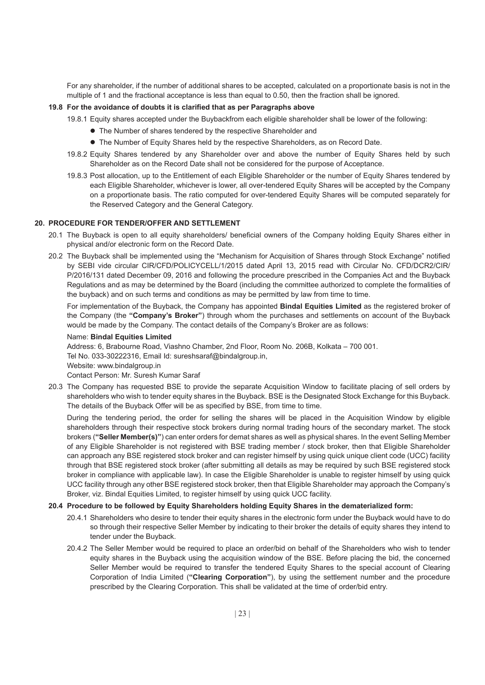For any shareholder, if the number of additional shares to be accepted, calculated on a proportionate basis is not in the multiple of 1 and the fractional acceptance is less than equal to 0.50, then the fraction shall be ignored.

#### **19.8 For the avoidance of doubts it is clarified that as per Paragraphs above**

19.8.1 Equity shares accepted under the Buybackfrom each eligible shareholder shall be lower of the following:

- **•** The Number of shares tendered by the respective Shareholder and
- $\bullet$  The Number of Equity Shares held by the respective Shareholders, as on Record Date.
- 19.8.2 Equity Shares tendered by any Shareholder over and above the number of Equity Shares held by such Shareholder as on the Record Date shall not be considered for the purpose of Acceptance.
- 19.8.3 Post allocation, up to the Entitlement of each Eligible Shareholder or the number of Equity Shares tendered by each Eligible Shareholder, whichever is lower, all over-tendered Equity Shares will be accepted by the Company on a proportionate basis. The ratio computed for over-tendered Equity Shares will be computed separately for the Reserved Category and the General Category.

#### **20. PROCEDURE FOR TENDER/OFFER AND SETTLEMENT**

- 20.1 The Buyback is open to all equity shareholders/ beneficial owners of the Company holding Equity Shares either in physical and/or electronic form on the Record Date.
- 20.2 The Buyback shall be implemented using the "Mechanism for Acquisition of Shares through Stock Exchange" notified by SEBI vide circular CIR/CFD/POLICYCELL/1/2015 dated April 13, 2015 read with Circular No. CFD/DCR2/CIR/ P/2016/131 dated December 09, 2016 and following the procedure prescribed in the Companies Act and the Buyback Regulations and as may be determined by the Board (including the committee authorized to complete the formalities of the buyback) and on such terms and conditions as may be permitted by law from time to time.

For implementation of the Buyback, the Company has appointed **Bindal Equities Limited** as the registered broker of the Company (the **"Company's Broker"**) through whom the purchases and settlements on account of the Buyback would be made by the Company. The contact details of the Company's Broker are as follows:

# Name: **Bindal Equities Limited**

Address: 6, Brabourne Road, Viashno Chamber, 2nd Floor, Room No. 206B, Kolkata – 700 001. Tel No. 033-30222316, Email Id: sureshsaraf@bindalgroup.in, Website: www.bindalgroup.in Contact Person: Mr. Suresh Kumar Saraf

20.3 The Company has requested BSE to provide the separate Acquisition Window to facilitate placing of sell orders by shareholders who wish to tender equity shares in the Buyback. BSE is the Designated Stock Exchange for this Buyback. The details of the Buyback Offer will be as specified by BSE, from time to time.

During the tendering period, the order for selling the shares will be placed in the Acquisition Window by eligible shareholders through their respective stock brokers during normal trading hours of the secondary market. The stock brokers (**"Seller Member(s)"**) can enter orders for demat shares as well as physical shares. In the event Selling Member of any Eligible Shareholder is not registered with BSE trading member / stock broker, then that Eligible Shareholder can approach any BSE registered stock broker and can register himself by using quick unique client code (UCC) facility through that BSE registered stock broker (after submitting all details as may be required by such BSE registered stock broker in compliance with applicable law). In case the Eligible Shareholder is unable to register himself by using quick UCC facility through any other BSE registered stock broker, then that Eligible Shareholder may approach the Company's Broker, viz. Bindal Equities Limited, to register himself by using quick UCC facility.

# **20.4 Procedure to be followed by Equity Shareholders holding Equity Shares in the dematerialized form:**

- 20.4.1 Shareholders who desire to tender their equity shares in the electronic form under the Buyback would have to do so through their respective Seller Member by indicating to their broker the details of equity shares they intend to tender under the Buyback.
- 20.4.2 The Seller Member would be required to place an order/bid on behalf of the Shareholders who wish to tender equity shares in the Buyback using the acquisition window of the BSE. Before placing the bid, the concerned Seller Member would be required to transfer the tendered Equity Shares to the special account of Clearing Corporation of India Limited (**"Clearing Corporation"**), by using the settlement number and the procedure prescribed by the Clearing Corporation. This shall be validated at the time of order/bid entry.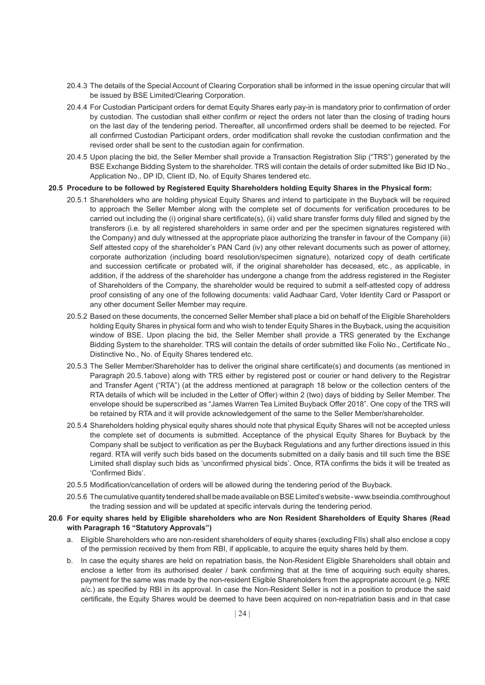- 20.4.3 The details of the Special Account of Clearing Corporation shall be informed in the issue opening circular that will be issued by BSE Limited/Clearing Corporation.
- 20.4.4 For Custodian Participant orders for demat Equity Shares early pay-in is mandatory prior to confirmation of order by custodian. The custodian shall either confirm or reject the orders not later than the closing of trading hours on the last day of the tendering period. Thereafter, all unconfirmed orders shall be deemed to be rejected. For all confirmed Custodian Participant orders, order modification shall revoke the custodian confirmation and the revised order shall be sent to the custodian again for confirmation.
- 20.4.5 Upon placing the bid, the Seller Member shall provide a Transaction Registration Slip ("TRS") generated by the BSE Exchange Bidding System to the shareholder. TRS will contain the details of order submitted like Bid ID No., Application No., DP ID, Client ID, No. of Equity Shares tendered etc.

# **20.5 Procedure to be followed by Registered Equity Shareholders holding Equity Shares in the Physical form:**

- 20.5.1 Shareholders who are holding physical Equity Shares and intend to participate in the Buyback will be required to approach the Seller Member along with the complete set of documents for verification procedures to be carried out including the (i) original share certificate(s), (ii) valid share transfer forms duly filled and signed by the transferors (i.e. by all registered shareholders in same order and per the specimen signatures registered with the Company) and duly witnessed at the appropriate place authorizing the transfer in favour of the Company (iii) Self attested copy of the shareholder's PAN Card (iv) any other relevant documents such as power of attorney, corporate authorization (including board resolution/specimen signature), notarized copy of death certificate and succession certificate or probated will, if the original shareholder has deceased, etc., as applicable, in addition, if the address of the shareholder has undergone a change from the address registered in the Register of Shareholders of the Company, the shareholder would be required to submit a self-attested copy of address proof consisting of any one of the following documents: valid Aadhaar Card, Voter Identity Card or Passport or any other document Seller Member may require.
- 20.5.2 Based on these documents, the concerned Seller Member shall place a bid on behalf of the Eligible Shareholders holding Equity Shares in physical form and who wish to tender Equity Shares in the Buyback, using the acquisition window of BSE. Upon placing the bid, the Seller Member shall provide a TRS generated by the Exchange Bidding System to the shareholder. TRS will contain the details of order submitted like Folio No., Certificate No., Distinctive No., No. of Equity Shares tendered etc.
- 20.5.3 The Seller Member/Shareholder has to deliver the original share certificate(s) and documents (as mentioned in Paragraph 20.5.1above) along with TRS either by registered post or courier or hand delivery to the Registrar and Transfer Agent ("RTA") (at the address mentioned at paragraph 18 below or the collection centers of the RTA details of which will be included in the Letter of Offer) within 2 (two) days of bidding by Seller Member. The envelope should be superscribed as "James Warren Tea Limited Buyback Offer 2018". One copy of the TRS will be retained by RTA and it will provide acknowledgement of the same to the Seller Member/shareholder.
- 20.5.4 Shareholders holding physical equity shares should note that physical Equity Shares will not be accepted unless the complete set of documents is submitted. Acceptance of the physical Equity Shares for Buyback by the Company shall be subject to verification as per the Buyback Regulations and any further directions issued in this regard. RTA will verify such bids based on the documents submitted on a daily basis and till such time the BSE Limited shall display such bids as 'unconfirmed physical bids'. Once, RTA confirms the bids it will be treated as 'Confirmed Bids'.
- 20.5.5 Modification/cancellation of orders will be allowed during the tendering period of the Buyback.
- 20.5.6 The cumulative quantity tendered shall be made available on BSE Limited's website www.bseindia.comthroughout the trading session and will be updated at specific intervals during the tendering period.

### **20.6 For equity shares held by Eligible shareholders who are Non Resident Shareholders of Equity Shares (Read with Paragraph 16 "Statutory Approvals")**

- a. Eligible Shareholders who are non-resident shareholders of equity shares (excluding FIIs) shall also enclose a copy of the permission received by them from RBI, if applicable, to acquire the equity shares held by them.
- b. In case the equity shares are held on repatriation basis, the Non-Resident Eligible Shareholders shall obtain and enclose a letter from its authorised dealer / bank confirming that at the time of acquiring such equity shares, payment for the same was made by the non-resident Eligible Shareholders from the appropriate account (e.g. NRE a/c.) as specified by RBI in its approval. In case the Non-Resident Seller is not in a position to produce the said certificate, the Equity Shares would be deemed to have been acquired on non-repatriation basis and in that case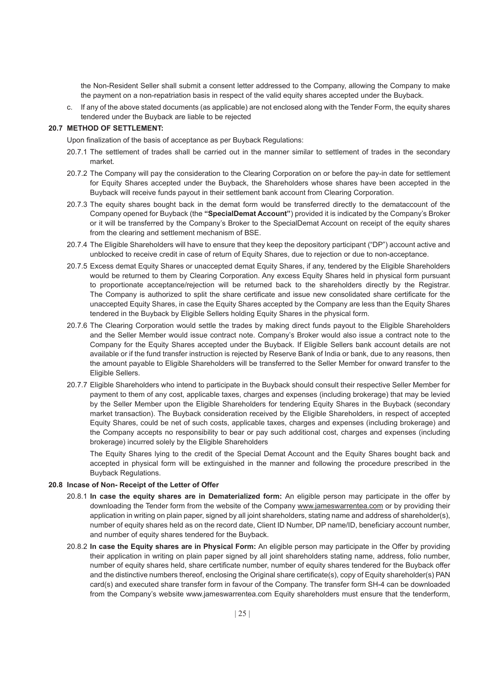the Non-Resident Seller shall submit a consent letter addressed to the Company, allowing the Company to make the payment on a non-repatriation basis in respect of the valid equity shares accepted under the Buyback.

c. If any of the above stated documents (as applicable) are not enclosed along with the Tender Form, the equity shares tendered under the Buyback are liable to be rejected

### **20.7 METHOD OF SETTLEMENT:**

Upon finalization of the basis of acceptance as per Buyback Regulations:

- 20.7.1 The settlement of trades shall be carried out in the manner similar to settlement of trades in the secondary market.
- 20.7.2 The Company will pay the consideration to the Clearing Corporation on or before the pay-in date for settlement for Equity Shares accepted under the Buyback, the Shareholders whose shares have been accepted in the Buyback will receive funds payout in their settlement bank account from Clearing Corporation.
- 20.7.3 The equity shares bought back in the demat form would be transferred directly to the demataccount of the Company opened for Buyback (the **"SpecialDemat Account"**) provided it is indicated by the Company's Broker or it will be transferred by the Company's Broker to the SpecialDemat Account on receipt of the equity shares from the clearing and settlement mechanism of BSE.
- 20.7.4 The Eligible Shareholders will have to ensure that they keep the depository participant ("DP") account active and unblocked to receive credit in case of return of Equity Shares, due to rejection or due to non-acceptance.
- 20.7.5 Excess demat Equity Shares or unaccepted demat Equity Shares, if any, tendered by the Eligible Shareholders would be returned to them by Clearing Corporation. Any excess Equity Shares held in physical form pursuant to proportionate acceptance/rejection will be returned back to the shareholders directly by the Registrar. The Company is authorized to split the share certificate and issue new consolidated share certificate for the unaccepted Equity Shares, in case the Equity Shares accepted by the Company are less than the Equity Shares tendered in the Buyback by Eligible Sellers holding Equity Shares in the physical form.
- 20.7.6 The Clearing Corporation would settle the trades by making direct funds payout to the Eligible Shareholders and the Seller Member would issue contract note. Company's Broker would also issue a contract note to the Company for the Equity Shares accepted under the Buyback. If Eligible Sellers bank account details are not available or if the fund transfer instruction is rejected by Reserve Bank of India or bank, due to any reasons, then the amount payable to Eligible Shareholders will be transferred to the Seller Member for onward transfer to the Eligible Sellers.
- 20.7.7 Eligible Shareholders who intend to participate in the Buyback should consult their respective Seller Member for payment to them of any cost, applicable taxes, charges and expenses (including brokerage) that may be levied by the Seller Member upon the Eligible Shareholders for tendering Equity Shares in the Buyback (secondary market transaction). The Buyback consideration received by the Eligible Shareholders, in respect of accepted Equity Shares, could be net of such costs, applicable taxes, charges and expenses (including brokerage) and the Company accepts no responsibility to bear or pay such additional cost, charges and expenses (including brokerage) incurred solely by the Eligible Shareholders

The Equity Shares lying to the credit of the Special Demat Account and the Equity Shares bought back and accepted in physical form will be extinguished in the manner and following the procedure prescribed in the Buyback Regulations.

#### **20.8 Incase of Non- Receipt of the Letter of Offer**

- 20.8.1 **In case the equity shares are in Dematerialized form:** An eligible person may participate in the offer by downloading the Tender form from the website of the Company www.jameswarrentea.com or by providing their application in writing on plain paper, signed by all joint shareholders, stating name and address of shareholder(s), number of equity shares held as on the record date, Client ID Number, DP name/ID, beneficiary account number, and number of equity shares tendered for the Buyback.
- 20.8.2 **In case the Equity shares are in Physical Form:** An eligible person may participate in the Offer by providing their application in writing on plain paper signed by all joint shareholders stating name, address, folio number, number of equity shares held, share certificate number, number of equity shares tendered for the Buyback offer and the distinctive numbers thereof, enclosing the Original share certificate(s), copy of Equity shareholder(s) PAN card(s) and executed share transfer form in favour of the Company. The transfer form SH-4 can be downloaded from the Company's website www.jameswarrentea.com Equity shareholders must ensure that the tenderform,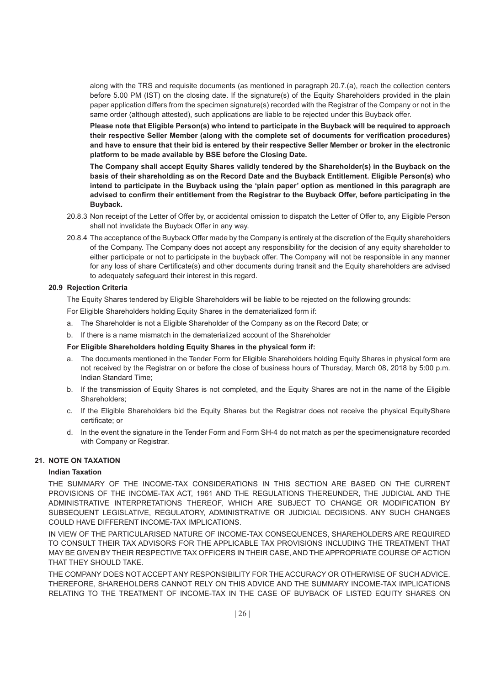along with the TRS and requisite documents (as mentioned in paragraph 20.7.(a), reach the collection centers before 5.00 PM (IST) on the closing date. If the signature(s) of the Equity Shareholders provided in the plain paper application differs from the specimen signature(s) recorded with the Registrar of the Company or not in the same order (although attested), such applications are liable to be rejected under this Buyback offer.

 **Please note that Eligible Person(s) who intend to participate in the Buyback will be required to approach their respective Seller Member (along with the complete set of documents for verification procedures) and have to ensure that their bid is entered by their respective Seller Member or broker in the electronic platform to be made available by BSE before the Closing Date.**

 **The Company shall accept Equity Shares validly tendered by the Shareholder(s) in the Buyback on the basis of their shareholding as on the Record Date and the Buyback Entitlement. Eligible Person(s) who intend to participate in the Buyback using the 'plain paper' option as mentioned in this paragraph are advised to confirm their entitlement from the Registrar to the Buyback Offer, before participating in the Buyback.**

- 20.8.3 Non receipt of the Letter of Offer by, or accidental omission to dispatch the Letter of Offer to, any Eligible Person shall not invalidate the Buyback Offer in any way.
- 20.8.4 The acceptance of the Buyback Offer made by the Company is entirely at the discretion of the Equity shareholders of the Company. The Company does not accept any responsibility for the decision of any equity shareholder to either participate or not to participate in the buyback offer. The Company will not be responsible in any manner for any loss of share Certificate(s) and other documents during transit and the Equity shareholders are advised to adequately safeguard their interest in this regard.

# **20.9 Rejection Criteria**

The Equity Shares tendered by Eligible Shareholders will be liable to be rejected on the following grounds:

For Eligible Shareholders holding Equity Shares in the dematerialized form if:

- a. The Shareholder is not a Eligible Shareholder of the Company as on the Record Date; or
- b. If there is a name mismatch in the dematerialized account of the Shareholder

#### **For Eligible Shareholders holding Equity Shares in the physical form if:**

- a. The documents mentioned in the Tender Form for Eligible Shareholders holding Equity Shares in physical form are not received by the Registrar on or before the close of business hours of Thursday, March 08, 2018 by 5:00 p.m. Indian Standard Time;
- b. If the transmission of Equity Shares is not completed, and the Equity Shares are not in the name of the Eligible Shareholders;
- c. If the Eligible Shareholders bid the Equity Shares but the Registrar does not receive the physical EquityShare certificate; or
- d. In the event the signature in the Tender Form and Form SH-4 do not match as per the specimensignature recorded with Company or Registrar.

# **21. NOTE ON TAXATION**

# **Indian Taxation**

THE SUMMARY OF THE INCOME-TAX CONSIDERATIONS IN THIS SECTION ARE BASED ON THE CURRENT PROVISIONS OF THE INCOME-TAX ACT, 1961 AND THE REGULATIONS THEREUNDER, THE JUDICIAL AND THE ADMINISTRATIVE INTERPRETATIONS THEREOF, WHICH ARE SUBJECT TO CHANGE OR MODIFICATION BY SUBSEQUENT LEGISLATIVE, REGULATORY, ADMINISTRATIVE OR JUDICIAL DECISIONS. ANY SUCH CHANGES COULD HAVE DIFFERENT INCOME-TAX IMPLICATIONS.

IN VIEW OF THE PARTICULARISED NATURE OF INCOME-TAX CONSEQUENCES, SHAREHOLDERS ARE REQUIRED TO CONSULT THEIR TAX ADVISORS FOR THE APPLICABLE TAX PROVISIONS INCLUDING THE TREATMENT THAT MAY BE GIVEN BY THEIR RESPECTIVE TAX OFFICERS IN THEIR CASE, AND THE APPROPRIATE COURSE OF ACTION THAT THEY SHOULD TAKE.

THE COMPANY DOES NOT ACCEPT ANY RESPONSIBILITY FOR THE ACCURACY OR OTHERWISE OF SUCH ADVICE. THEREFORE, SHAREHOLDERS CANNOT RELY ON THIS ADVICE AND THE SUMMARY INCOME-TAX IMPLICATIONS RELATING TO THE TREATMENT OF INCOME-TAX IN THE CASE OF BUYBACK OF LISTED EQUITY SHARES ON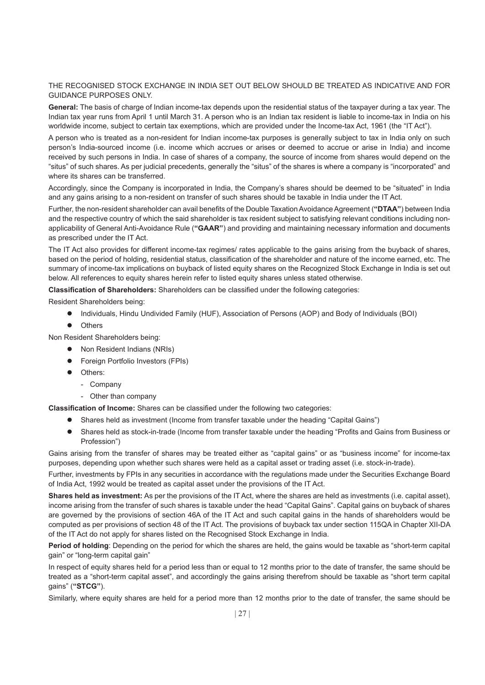# THE RECOGNISED STOCK EXCHANGE IN INDIA SET OUT BELOW SHOULD BE TREATED AS INDICATIVE AND FOR GUIDANCE PURPOSES ONLY.

**General:** The basis of charge of Indian income-tax depends upon the residential status of the taxpayer during a tax year. The Indian tax year runs from April 1 until March 31. A person who is an Indian tax resident is liable to income-tax in India on his worldwide income, subject to certain tax exemptions, which are provided under the Income-tax Act, 1961 (the "IT Act").

A person who is treated as a non-resident for Indian income-tax purposes is generally subject to tax in India only on such person's India-sourced income (i.e. income which accrues or arises or deemed to accrue or arise in India) and income received by such persons in India. In case of shares of a company, the source of income from shares would depend on the "situs" of such shares. As per judicial precedents, generally the "situs" of the shares is where a company is "incorporated" and where its shares can be transferred.

Accordingly, since the Company is incorporated in India, the Company's shares should be deemed to be "situated" in India and any gains arising to a non-resident on transfer of such shares should be taxable in India under the IT Act.

Further, the non-resident shareholder can avail benefits of the Double Taxation Avoidance Agreement (**"DTAA"**) between India and the respective country of which the said shareholder is tax resident subject to satisfying relevant conditions including nonapplicability of General Anti-Avoidance Rule (**"GAAR"**) and providing and maintaining necessary information and documents as prescribed under the IT Act.

The IT Act also provides for different income-tax regimes/ rates applicable to the gains arising from the buyback of shares, based on the period of holding, residential status, classification of the shareholder and nature of the income earned, etc. The summary of income-tax implications on buyback of listed equity shares on the Recognized Stock Exchange in India is set out below. All references to equity shares herein refer to listed equity shares unless stated otherwise.

**Classification of Shareholders:** Shareholders can be classified under the following categories:

Resident Shareholders being:

- Individuals, Hindu Undivided Family (HUF), Association of Persons (AOP) and Body of Individuals (BOI)
- **•** Others

Non Resident Shareholders being:

- Non Resident Indians (NRIs)
- **•** Foreign Portfolio Investors (FPIs)
- **•** Others:
	- Company
	- Other than company

**Classification of Income:** Shares can be classified under the following two categories:

- l Shares held as investment (Income from transfer taxable under the heading "Capital Gains")
- Shares held as stock-in-trade (Income from transfer taxable under the heading "Profits and Gains from Business or Profession")

Gains arising from the transfer of shares may be treated either as "capital gains" or as "business income" for income-tax purposes, depending upon whether such shares were held as a capital asset or trading asset (i.e. stock-in-trade).

Further, investments by FPIs in any securities in accordance with the regulations made under the Securities Exchange Board of India Act, 1992 would be treated as capital asset under the provisions of the IT Act.

**Shares held as investment:** As per the provisions of the IT Act, where the shares are held as investments (i.e. capital asset), income arising from the transfer of such shares is taxable under the head "Capital Gains". Capital gains on buyback of shares are governed by the provisions of section 46A of the IT Act and such capital gains in the hands of shareholders would be computed as per provisions of section 48 of the IT Act. The provisions of buyback tax under section 115QA in Chapter XII-DA of the IT Act do not apply for shares listed on the Recognised Stock Exchange in India.

**Period of holding**: Depending on the period for which the shares are held, the gains would be taxable as "short-term capital gain" or "long-term capital gain"

In respect of equity shares held for a period less than or equal to 12 months prior to the date of transfer, the same should be treated as a "short-term capital asset", and accordingly the gains arising therefrom should be taxable as "short term capital gains" (**"STCG"**).

Similarly, where equity shares are held for a period more than 12 months prior to the date of transfer, the same should be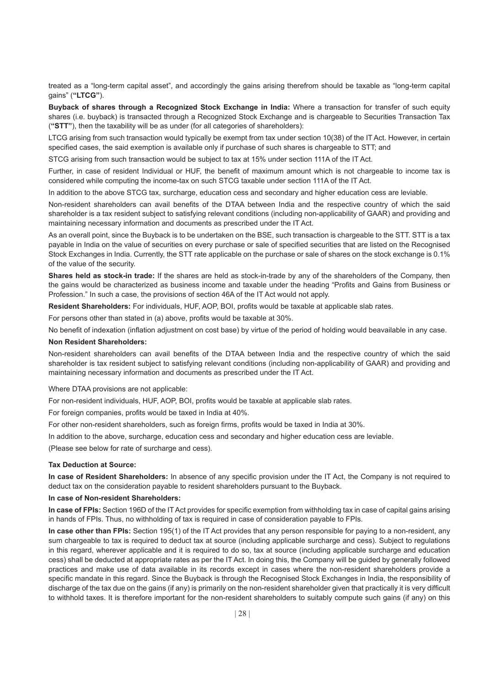treated as a "long-term capital asset", and accordingly the gains arising therefrom should be taxable as "long-term capital gains" (**"LTCG"**).

**Buyback of shares through a Recognized Stock Exchange in India:** Where a transaction for transfer of such equity shares (i.e. buyback) is transacted through a Recognized Stock Exchange and is chargeable to Securities Transaction Tax (**"STT"**), then the taxability will be as under (for all categories of shareholders):

LTCG arising from such transaction would typically be exempt from tax under section 10(38) of the IT Act. However, in certain specified cases, the said exemption is available only if purchase of such shares is chargeable to STT; and

STCG arising from such transaction would be subject to tax at 15% under section 111A of the IT Act.

Further, in case of resident Individual or HUF, the benefit of maximum amount which is not chargeable to income tax is considered while computing the income-tax on such STCG taxable under section 111A of the IT Act.

In addition to the above STCG tax, surcharge, education cess and secondary and higher education cess are leviable.

Non-resident shareholders can avail benefits of the DTAA between India and the respective country of which the said shareholder is a tax resident subject to satisfying relevant conditions (including non-applicability of GAAR) and providing and maintaining necessary information and documents as prescribed under the IT Act.

As an overall point, since the Buyback is to be undertaken on the BSE, such transaction is chargeable to the STT. STT is a tax payable in India on the value of securities on every purchase or sale of specified securities that are listed on the Recognised Stock Exchanges in India. Currently, the STT rate applicable on the purchase or sale of shares on the stock exchange is 0.1% of the value of the security.

**Shares held as stock-in trade:** If the shares are held as stock-in-trade by any of the shareholders of the Company, then the gains would be characterized as business income and taxable under the heading "Profits and Gains from Business or Profession." In such a case, the provisions of section 46A of the IT Act would not apply.

**Resident Shareholders:** For individuals, HUF, AOP, BOI, profits would be taxable at applicable slab rates.

For persons other than stated in (a) above, profits would be taxable at 30%.

No benefit of indexation (inflation adjustment on cost base) by virtue of the period of holding would beavailable in any case.

#### **Non Resident Shareholders:**

Non-resident shareholders can avail benefits of the DTAA between India and the respective country of which the said shareholder is tax resident subject to satisfying relevant conditions (including non-applicability of GAAR) and providing and maintaining necessary information and documents as prescribed under the IT Act.

Where DTAA provisions are not applicable:

For non-resident individuals, HUF, AOP, BOI, profits would be taxable at applicable slab rates.

For foreign companies, profits would be taxed in India at 40%.

For other non-resident shareholders, such as foreign firms, profits would be taxed in India at 30%.

In addition to the above, surcharge, education cess and secondary and higher education cess are leviable.

(Please see below for rate of surcharge and cess).

#### **Tax Deduction at Source:**

**In case of Resident Shareholders:** In absence of any specific provision under the IT Act, the Company is not required to deduct tax on the consideration payable to resident shareholders pursuant to the Buyback.

#### **In case of Non-resident Shareholders:**

**In case of FPIs:** Section 196D of the IT Act provides for specific exemption from withholding tax in case of capital gains arising in hands of FPIs. Thus, no withholding of tax is required in case of consideration payable to FPIs.

**In case other than FPIs:** Section 195(1) of the IT Act provides that any person responsible for paying to a non-resident, any sum chargeable to tax is required to deduct tax at source (including applicable surcharge and cess). Subject to regulations in this regard, wherever applicable and it is required to do so, tax at source (including applicable surcharge and education cess) shall be deducted at appropriate rates as per the IT Act. In doing this, the Company will be guided by generally followed practices and make use of data available in its records except in cases where the non-resident shareholders provide a specific mandate in this regard. Since the Buyback is through the Recognised Stock Exchanges in India, the responsibility of discharge of the tax due on the gains (if any) is primarily on the non-resident shareholder given that practically it is very difficult to withhold taxes. It is therefore important for the non-resident shareholders to suitably compute such gains (if any) on this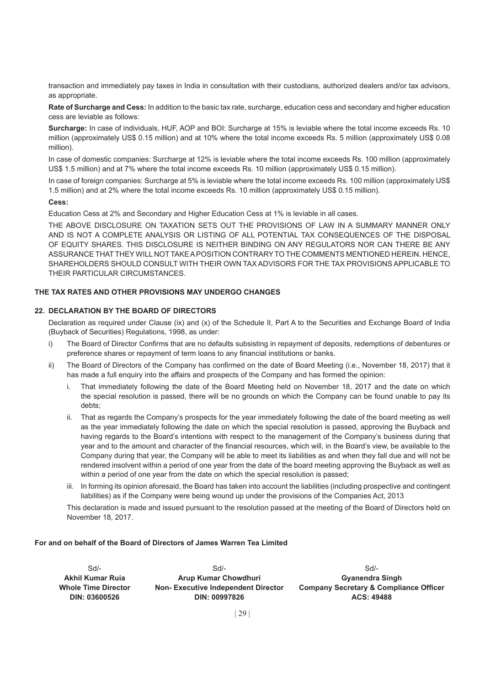transaction and immediately pay taxes in India in consultation with their custodians, authorized dealers and/or tax advisors, as appropriate.

**Rate of Surcharge and Cess:** In addition to the basic tax rate, surcharge, education cess and secondary and higher education cess are leviable as follows:

**Surcharge:** In case of individuals, HUF, AOP and BOI: Surcharge at 15% is leviable where the total income exceeds Rs. 10 million (approximately US\$ 0.15 million) and at 10% where the total income exceeds Rs. 5 million (approximately US\$ 0.08 million).

In case of domestic companies: Surcharge at 12% is leviable where the total income exceeds Rs. 100 million (approximately US\$ 1.5 million) and at 7% where the total income exceeds Rs. 10 million (approximately US\$ 0.15 million).

In case of foreign companies: Surcharge at 5% is leviable where the total income exceeds Rs. 100 million (approximately US\$ 1.5 million) and at 2% where the total income exceeds Rs. 10 million (approximately US\$ 0.15 million).

#### **Cess:**

Education Cess at 2% and Secondary and Higher Education Cess at 1% is leviable in all cases.

THE ABOVE DISCLOSURE ON TAXATION SETS OUT THE PROVISIONS OF LAW IN A SUMMARY MANNER ONLY AND IS NOT A COMPLETE ANALYSIS OR LISTING OF ALL POTENTIAL TAX CONSEQUENCES OF THE DISPOSAL OF EQUITY SHARES. THIS DISCLOSURE IS NEITHER BINDING ON ANY REGULATORS NOR CAN THERE BE ANY ASSURANCE THAT THEY WILL NOT TAKE A POSITION CONTRARY TO THE COMMENTS MENTIONED HEREIN. HENCE, SHAREHOLDERS SHOULD CONSULT WITH THEIR OWN TAX ADVISORS FOR THE TAX PROVISIONS APPLICABLE TO THEIR PARTICULAR CIRCUMSTANCES.

#### **THE TAX RATES AND OTHER PROVISIONS MAY UNDERGO CHANGES**

### **22. DECLARATION BY THE BOARD OF DIRECTORS**

Declaration as required under Clause (ix) and (x) of the Schedule II, Part A to the Securities and Exchange Board of India (Buyback of Securities) Regulations, 1998, as under:

- i) The Board of Director Confirms that are no defaults subsisting in repayment of deposits, redemptions of debentures or preference shares or repayment of term loans to any financial institutions or banks.
- ii) The Board of Directors of the Company has confirmed on the date of Board Meeting (i.e., November 18, 2017) that it has made a full enquiry into the affairs and prospects of the Company and has formed the opinion:
	- i. That immediately following the date of the Board Meeting held on November 18, 2017 and the date on which the special resolution is passed, there will be no grounds on which the Company can be found unable to pay its debts;
	- ii. That as regards the Company's prospects for the year immediately following the date of the board meeting as well as the year immediately following the date on which the special resolution is passed, approving the Buyback and having regards to the Board's intentions with respect to the management of the Company's business during that year and to the amount and character of the financial resources, which will, in the Board's view, be available to the Company during that year, the Company will be able to meet its liabilities as and when they fall due and will not be rendered insolvent within a period of one year from the date of the board meeting approving the Buyback as well as within a period of one year from the date on which the special resolution is passed;
	- iii. In forming its opinion aforesaid, the Board has taken into account the liabilities (including prospective and contingent liabilities) as if the Company were being wound up under the provisions of the Companies Act, 2013

This declaration is made and issued pursuant to the resolution passed at the meeting of the Board of Directors held on November 18, 2017.

### **For and on behalf of the Board of Directors of James Warren Tea Limited**

| $Sd/-$        | Sd                                                                       |
|---------------|--------------------------------------------------------------------------|
|               | Gyanendra Singh                                                          |
|               | <b>Company Secretary &amp; Compliance Officer</b>                        |
| DIN: 00997826 | ACS: 49488                                                               |
|               | <b>Arup Kumar Chowdhuri</b><br><b>Non-Executive Independent Director</b> |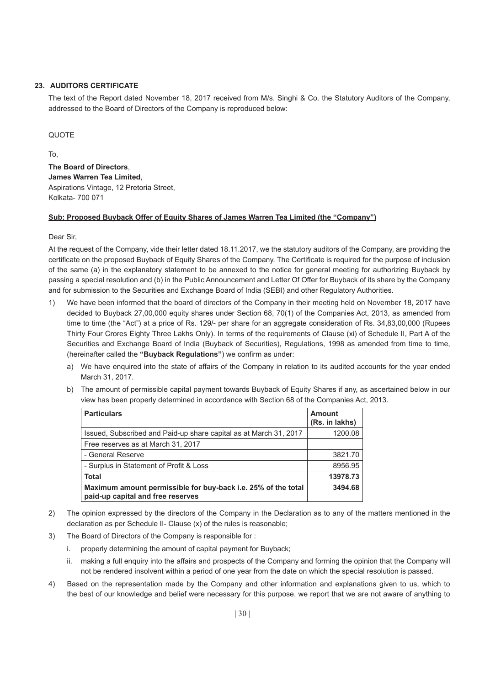# **23. AUDITORS CERTIFICATE**

The text of the Report dated November 18, 2017 received from M/s. Singhi & Co. the Statutory Auditors of the Company, addressed to the Board of Directors of the Company is reproduced below:

# QUOTE

To,

**The Board of Directors**, **James Warren Tea Limited**, Aspirations Vintage, 12 Pretoria Street, Kolkata- 700 071

# **Sub: Proposed Buyback Offer of Equity Shares of James Warren Tea Limited (the "Company")**

Dear Sir,

At the request of the Company, vide their letter dated 18.11.2017, we the statutory auditors of the Company, are providing the certificate on the proposed Buyback of Equity Shares of the Company. The Certificate is required for the purpose of inclusion of the same (a) in the explanatory statement to be annexed to the notice for general meeting for authorizing Buyback by passing a special resolution and (b) in the Public Announcement and Letter Of Offer for Buyback of its share by the Company and for submission to the Securities and Exchange Board of India (SEBI) and other Regulatory Authorities.

- 1) We have been informed that the board of directors of the Company in their meeting held on November 18, 2017 have decided to Buyback 27,00,000 equity shares under Section 68, 70(1) of the Companies Act, 2013, as amended from time to time (the "Act") at a price of Rs. 129/- per share for an aggregate consideration of Rs. 34,83,00,000 (Rupees Thirty Four Crores Eighty Three Lakhs Only). In terms of the requirements of Clause (xi) of Schedule II, Part A of the Securities and Exchange Board of India (Buyback of Securities), Regulations, 1998 as amended from time to time, (hereinafter called the **"Buyback Regulations"**) we confirm as under:
	- a) We have enquired into the state of affairs of the Company in relation to its audited accounts for the year ended March 31, 2017.
	- b) The amount of permissible capital payment towards Buyback of Equity Shares if any, as ascertained below in our view has been properly determined in accordance with Section 68 of the Companies Act, 2013.

| <b>Particulars</b>                                                                                 | Amount<br>(Rs. in lakhs) |
|----------------------------------------------------------------------------------------------------|--------------------------|
| Issued, Subscribed and Paid-up share capital as at March 31, 2017                                  | 1200.08                  |
| Free reserves as at March 31, 2017                                                                 |                          |
| - General Reserve                                                                                  | 3821.70                  |
| - Surplus in Statement of Profit & Loss                                                            | 8956.95                  |
| <b>Total</b>                                                                                       | 13978.73                 |
| Maximum amount permissible for buy-back i.e. 25% of the total<br>paid-up capital and free reserves | 3494.68                  |

- 2) The opinion expressed by the directors of the Company in the Declaration as to any of the matters mentioned in the declaration as per Schedule II- Clause (x) of the rules is reasonable;
- 3) The Board of Directors of the Company is responsible for :
	- i. properly determining the amount of capital payment for Buyback;
	- ii. making a full enquiry into the affairs and prospects of the Company and forming the opinion that the Company will not be rendered insolvent within a period of one year from the date on which the special resolution is passed.
- 4) Based on the representation made by the Company and other information and explanations given to us, which to the best of our knowledge and belief were necessary for this purpose, we report that we are not aware of anything to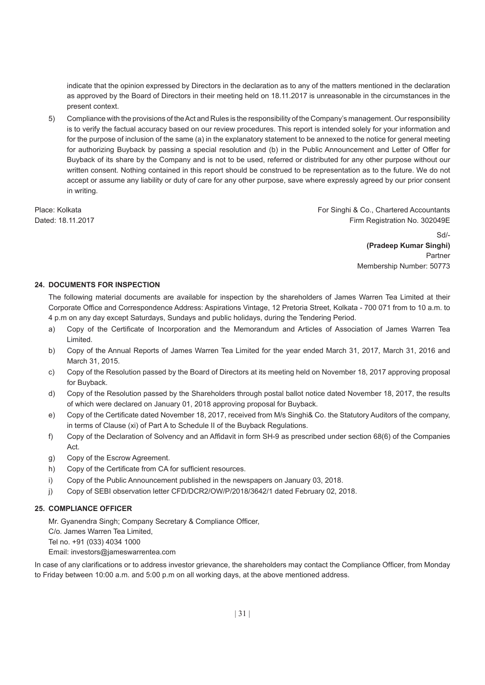indicate that the opinion expressed by Directors in the declaration as to any of the matters mentioned in the declaration as approved by the Board of Directors in their meeting held on 18.11.2017 is unreasonable in the circumstances in the present context.

5) Compliance with the provisions of the Act and Rules is the responsibility of the Company's management. Our responsibility is to verify the factual accuracy based on our review procedures. This report is intended solely for your information and for the purpose of inclusion of the same (a) in the explanatory statement to be annexed to the notice for general meeting for authorizing Buyback by passing a special resolution and (b) in the Public Announcement and Letter of Offer for Buyback of its share by the Company and is not to be used, referred or distributed for any other purpose without our written consent. Nothing contained in this report should be construed to be representation as to the future. We do not accept or assume any liability or duty of care for any other purpose, save where expressly agreed by our prior consent in writing.

Place: Kolkata For Singhi & Co., Chartered Accountants Dated: 18.11.2017 **Firm Registration No. 302049E** 

Sd/- **(Pradeep Kumar Singhi)** Partner (1999) and the control of the control of the control of the control of the control of the control of the control of the control of the control of the control of the control of the control of the control of the cont Membership Number: 50773

# **24. DOCUMENTS FOR INSPECTION**

The following material documents are available for inspection by the shareholders of James Warren Tea Limited at their Corporate Office and Correspondence Address: Aspirations Vintage, 12 Pretoria Street, Kolkata - 700 071 from to 10 a.m. to 4 p.m on any day except Saturdays, Sundays and public holidays, during the Tendering Period.

- a) Copy of the Certificate of Incorporation and the Memorandum and Articles of Association of James Warren Tea Limited.
- b) Copy of the Annual Reports of James Warren Tea Limited for the year ended March 31, 2017, March 31, 2016 and March 31, 2015.
- c) Copy of the Resolution passed by the Board of Directors at its meeting held on November 18, 2017 approving proposal for Buyback.
- d) Copy of the Resolution passed by the Shareholders through postal ballot notice dated November 18, 2017, the results of which were declared on January 01, 2018 approving proposal for Buyback.
- e) Copy of the Certificate dated November 18, 2017, received from M/s Singhi& Co. the Statutory Auditors of the company, in terms of Clause (xi) of Part A to Schedule II of the Buyback Regulations.
- f) Copy of the Declaration of Solvency and an Affidavit in form SH-9 as prescribed under section 68(6) of the Companies Act.
- g) Copy of the Escrow Agreement.
- h) Copy of the Certificate from CA for sufficient resources.
- i) Copy of the Public Announcement published in the newspapers on January 03, 2018.
- j) Copy of SEBI observation letter CFD/DCR2/OW/P/2018/3642/1 dated February 02, 2018.

# **25. COMPLIANCE OFFICER**

Mr. Gyanendra Singh; Company Secretary & Compliance Officer, C/o. James Warren Tea Limited, Tel no. +91 (033) 4034 1000 Email: investors@jameswarrentea.com

In case of any clarifications or to address investor grievance, the shareholders may contact the Compliance Officer, from Monday to Friday between 10:00 a.m. and 5:00 p.m on all working days, at the above mentioned address.